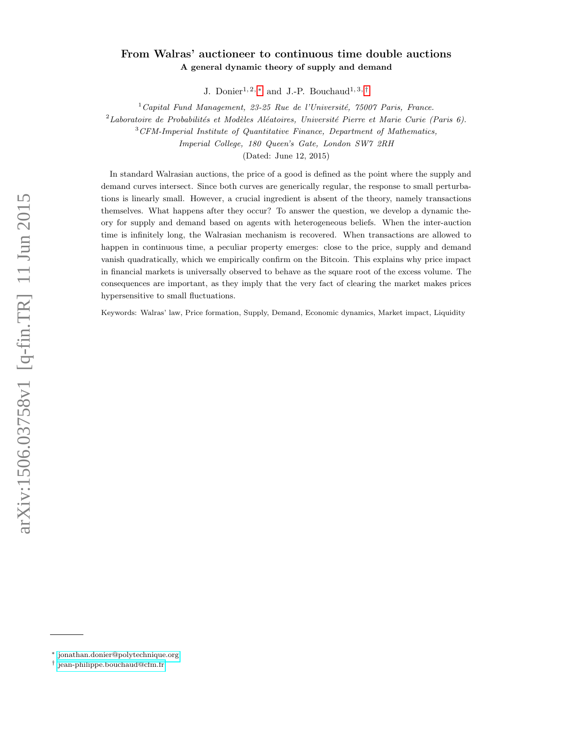# From Walras' auctioneer to continuous time double auctions A general dynamic theory of supply and demand

J. Donier<sup>1, 2, [∗](#page-0-0)</sup> and J.-P. Bouchaud<sup>1, 3,[†](#page-0-1)</sup>

 $1$  Capital Fund Management, 23-25 Rue de l'Université, 75007 Paris, France.

 $2$ Laboratoire de Probabilités et Modèles Aléatoires, Université Pierre et Marie Curie (Paris 6).

 $3$  CFM-Imperial Institute of Quantitative Finance, Department of Mathematics,

Imperial College, 180 Queen's Gate, London SW7 2RH

(Dated: June 12, 2015)

In standard Walrasian auctions, the price of a good is defined as the point where the supply and demand curves intersect. Since both curves are generically regular, the response to small perturbations is linearly small. However, a crucial ingredient is absent of the theory, namely transactions themselves. What happens after they occur? To answer the question, we develop a dynamic theory for supply and demand based on agents with heterogeneous beliefs. When the inter-auction time is infinitely long, the Walrasian mechanism is recovered. When transactions are allowed to happen in continuous time, a peculiar property emerges: close to the price, supply and demand vanish quadratically, which we empirically confirm on the Bitcoin. This explains why price impact in financial markets is universally observed to behave as the square root of the excess volume. The consequences are important, as they imply that the very fact of clearing the market makes prices hypersensitive to small fluctuations.

Keywords: Walras' law, Price formation, Supply, Demand, Economic dynamics, Market impact, Liquidity

<span id="page-0-1"></span><span id="page-0-0"></span><sup>∗</sup> [jonathan.donier@polytechnique.org](mailto:jonathan.donier@polytechnique.org)

<sup>†</sup> [jean-philippe.bouchaud@cfm.fr](mailto:jean-philippe.bouchaud@cfm.fr)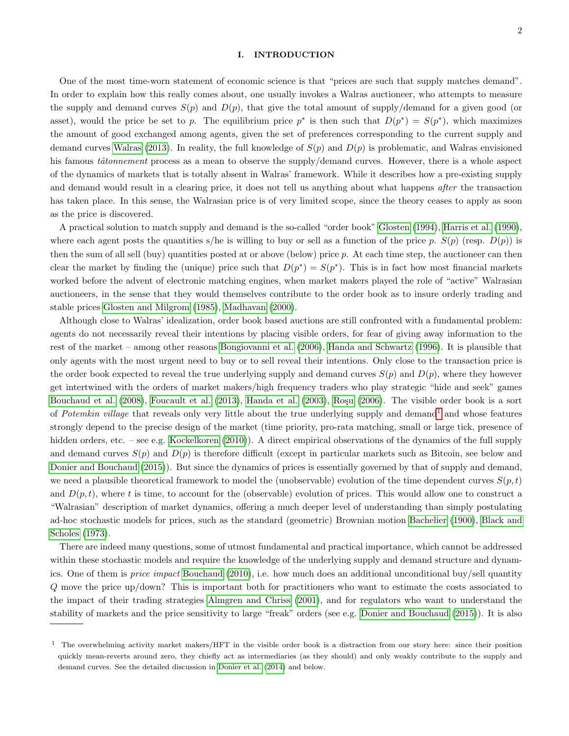## I. INTRODUCTION

One of the most time-worn statement of economic science is that "prices are such that supply matches demand". In order to explain how this really comes about, one usually invokes a Walras auctioneer, who attempts to measure the supply and demand curves  $S(p)$  and  $D(p)$ , that give the total amount of supply/demand for a given good (or asset), would the price be set to p. The equilibrium price  $p^*$  is then such that  $D(p^*) = S(p^*)$ , which maximizes the amount of good exchanged among agents, given the set of preferences corresponding to the current supply and demand curves [Walras](#page-24-0) [\(2013\)](#page-24-0). In reality, the full knowledge of  $S(p)$  and  $D(p)$  is problematic, and Walras envisioned his famous *tâtonnement* process as a mean to observe the supply/demand curves. However, there is a whole aspect of the dynamics of markets that is totally absent in Walras' framework. While it describes how a pre-existing supply and demand would result in a clearing price, it does not tell us anything about what happens after the transaction has taken place. In this sense, the Walrasian price is of very limited scope, since the theory ceases to apply as soon as the price is discovered.

A practical solution to match supply and demand is the so-called "order book" [Glosten](#page-23-0) [\(1994\)](#page-23-0), [Harris et al.](#page-23-1) [\(1990\)](#page-23-1), where each agent posts the quantities s/he is willing to buy or sell as a function of the price p.  $S(p)$  (resp.  $D(p)$ ) is then the sum of all sell (buy) quantities posted at or above (below) price  $p$ . At each time step, the auctioneer can then clear the market by finding the (unique) price such that  $D(p^*) = S(p^*)$ . This is in fact how most financial markets worked before the advent of electronic matching engines, when market makers played the role of "active" Walrasian auctioneers, in the sense that they would themselves contribute to the order book as to insure orderly trading and stable prices [Glosten and Milgrom](#page-23-2) [\(1985\)](#page-23-2), [Madhavan](#page-24-1) [\(2000\)](#page-24-1).

Although close to Walras' idealization, order book based auctions are still confronted with a fundamental problem: agents do not necessarily reveal their intentions by placing visible orders, for fear of giving away information to the rest of the market – among other reasons [Bongiovanni et al.](#page-22-0) [\(2006\)](#page-22-0), [Handa and Schwartz](#page-23-3) [\(1996\)](#page-23-3). It is plausible that only agents with the most urgent need to buy or to sell reveal their intentions. Only close to the transaction price is the order book expected to reveal the true underlying supply and demand curves  $S(p)$  and  $D(p)$ , where they however get intertwined with the orders of market makers/high frequency traders who play strategic "hide and seek" games [Bouchaud et al.](#page-22-1) [\(2008\)](#page-22-1), [Foucault et al.](#page-23-4) [\(2013\)](#page-23-4), [Handa et al.](#page-23-5) [\(2003\)](#page-23-5), Rosu [\(2006\)](#page-24-2). The visible order book is a sort of Potemkin village that reveals only very little about the true underlying supply and demand<sup>[1](#page-1-0)</sup> and whose features strongly depend to the precise design of the market (time priority, pro-rata matching, small or large tick, presence of hidden orders, etc. – see e.g. [Kockelkoren](#page-23-6) [\(2010\)](#page-23-6)). A direct empirical observations of the dynamics of the full supply and demand curves  $S(p)$  and  $D(p)$  is therefore difficult (except in particular markets such as Bitcoin, see below and [Donier and Bouchaud](#page-22-2) [\(2015\)](#page-22-2)). But since the dynamics of prices is essentially governed by that of supply and demand, we need a plausible theoretical framework to model the (unobservable) evolution of the time dependent curves  $S(p, t)$ and  $D(p, t)$ , where t is time, to account for the (observable) evolution of prices. This would allow one to construct a "Walrasian" description of market dynamics, offering a much deeper level of understanding than simply postulating ad-hoc stochastic models for prices, such as the standard (geometric) Brownian motion [Bachelier](#page-21-0) [\(1900\)](#page-21-0), [Black and](#page-22-3) [Scholes](#page-22-3) [\(1973\)](#page-22-3).

There are indeed many questions, some of utmost fundamental and practical importance, which cannot be addressed within these stochastic models and require the knowledge of the underlying supply and demand structure and dynamics. One of them is price impact [Bouchaud](#page-22-4) [\(2010\)](#page-22-4), i.e. how much does an additional unconditional buy/sell quantity Q move the price up/down? This is important both for practitioners who want to estimate the costs associated to the impact of their trading strategies [Almgren and Chriss](#page-21-1) [\(2001\)](#page-21-1), and for regulators who want to understand the stability of markets and the price sensitivity to large "freak" orders (see e.g. [Donier and Bouchaud](#page-22-2) [\(2015\)](#page-22-2)). It is also

<span id="page-1-0"></span><sup>&</sup>lt;sup>1</sup> The overwhelming activity market makers/HFT in the visible order book is a distraction from our story here: since their position quickly mean-reverts around zero, they chiefly act as intermediaries (as they should) and only weakly contribute to the supply and demand curves. See the detailed discussion in [Donier et al.](#page-22-5) [\(2014\)](#page-22-5) and below.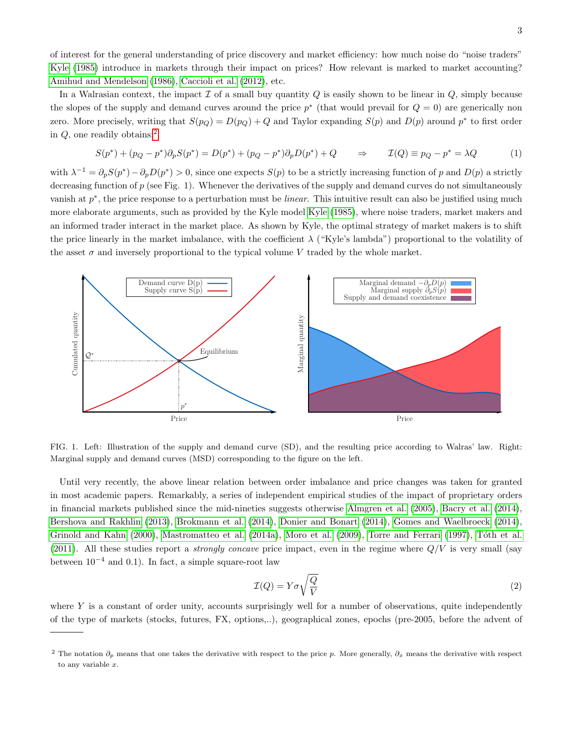of interest for the general understanding of price discovery and market efficiency: how much noise do "noise traders" [Kyle](#page-23-7) [\(1985\)](#page-23-7) introduce in markets through their impact on prices? How relevant is marked to market accounting? [Amihud and Mendelson](#page-21-2) [\(1986\)](#page-21-2), [Caccioli et al.](#page-22-6) [\(2012\)](#page-22-6), etc.

In a Walrasian context, the impact  $\mathcal I$  of a small buy quantity  $Q$  is easily shown to be linear in  $Q$ , simply because the slopes of the supply and demand curves around the price  $p^*$  (that would prevail for  $Q = 0$ ) are generically non zero. More precisely, writing that  $S(p_Q) = D(p_Q) + Q$  and Taylor expanding  $S(p)$  and  $D(p)$  around  $p^*$  to first order in  $Q$ , one readily obtains:<sup>[2](#page-2-0)</sup>

<span id="page-2-2"></span>
$$
S(p^*) + (p_Q - p^*)\partial_p S(p^*) = D(p^*) + (p_Q - p^*)\partial_p D(p^*) + Q \qquad \Rightarrow \qquad \mathcal{I}(Q) \equiv p_Q - p^* = \lambda Q \tag{1}
$$

with  $\lambda^{-1} = \partial_p S(p^*) - \partial_p D(p^*) > 0$ , since one expects  $S(p)$  to be a strictly increasing function of p and  $D(p)$  a strictly decreasing function of  $p$  (see Fig. 1). Whenever the derivatives of the supply and demand curves do not simultaneously vanish at  $p^*$ , the price response to a perturbation must be *linear*. This intuitive result can also be justified using much more elaborate arguments, such as provided by the Kyle model [Kyle](#page-23-7) [\(1985\)](#page-23-7), where noise traders, market makers and an informed trader interact in the market place. As shown by Kyle, the optimal strategy of market makers is to shift the price linearly in the market imbalance, with the coefficient  $\lambda$  ("Kyle's lambda") proportional to the volatility of the asset  $\sigma$  and inversely proportional to the typical volume V traded by the whole market.



<span id="page-2-1"></span>FIG. 1. Left: Illustration of the supply and demand curve (SD), and the resulting price according to Walras' law. Right: Marginal supply and demand curves (MSD) corresponding to the figure on the left.

Until very recently, the above linear relation between order imbalance and price changes was taken for granted in most academic papers. Remarkably, a series of independent empirical studies of the impact of proprietary orders in financial markets published since the mid-nineties suggests otherwise [Almgren et al.](#page-21-3) [\(2005\)](#page-21-3), [Bacry et al.](#page-22-7) [\(2014\)](#page-22-7), [Bershova and Rakhlin](#page-22-8) [\(2013\)](#page-22-8), [Brokmann et al.](#page-22-9) [\(2014\)](#page-22-9), [Donier and Bonart](#page-22-10) [\(2014\)](#page-22-10), [Gomes and Waelbroeck](#page-23-8) [\(2014\)](#page-23-8), [Grinold and Kahn](#page-23-9) [\(2000\)](#page-23-9), [Mastromatteo et al.](#page-24-3) [\(2014a\)](#page-24-3), [Moro et al.](#page-24-4) [\(2009\)](#page-24-4), [Torre and Ferrari](#page-24-5) [\(1997\)](#page-24-5), Tóth et al. [\(2011\)](#page-24-6). All these studies report a *strongly concave* price impact, even in the regime where  $Q/V$  is very small (say between  $10^{-4}$  and 0.1). In fact, a simple square-root law

$$
\mathcal{I}(Q) = Y\sigma\sqrt{\frac{Q}{V}}\tag{2}
$$

where  $Y$  is a constant of order unity, accounts surprisingly well for a number of observations, quite independently of the type of markets (stocks, futures, FX, options,..), geographical zones, epochs (pre-2005, before the advent of

<span id="page-2-0"></span><sup>&</sup>lt;sup>2</sup> The notation  $\partial_p$  means that one takes the derivative with respect to the price p. More generally,  $\partial_x$  means the derivative with respect to any variable x.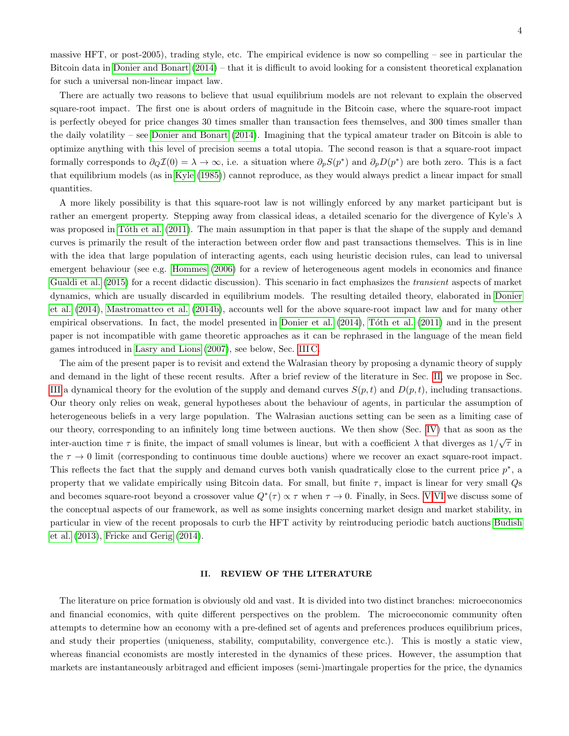massive HFT, or post-2005), trading style, etc. The empirical evidence is now so compelling – see in particular the Bitcoin data in [Donier and Bonart](#page-22-10) [\(2014\)](#page-22-10) – that it is difficult to avoid looking for a consistent theoretical explanation for such a universal non-linear impact law.

There are actually two reasons to believe that usual equilibrium models are not relevant to explain the observed square-root impact. The first one is about orders of magnitude in the Bitcoin case, where the square-root impact is perfectly obeyed for price changes 30 times smaller than transaction fees themselves, and 300 times smaller than the daily volatility – see [Donier and Bonart](#page-22-10) [\(2014\)](#page-22-10). Imagining that the typical amateur trader on Bitcoin is able to optimize anything with this level of precision seems a total utopia. The second reason is that a square-root impact formally corresponds to  $\partial_Q \mathcal{I}(0) = \lambda \to \infty$ , i.e. a situation where  $\partial_p S(p^*)$  and  $\partial_p D(p^*)$  are both zero. This is a fact that equilibrium models (as in [Kyle](#page-23-7) [\(1985\)](#page-23-7)) cannot reproduce, as they would always predict a linear impact for small quantities.

A more likely possibility is that this square-root law is not willingly enforced by any market participant but is rather an emergent property. Stepping away from classical ideas, a detailed scenario for the divergence of Kyle's  $\lambda$ was proposed in Tôth et al. [\(2011\)](#page-24-6). The main assumption in that paper is that the shape of the supply and demand curves is primarily the result of the interaction between order flow and past transactions themselves. This is in line with the idea that large population of interacting agents, each using heuristic decision rules, can lead to universal emergent behaviour (see e.g. [Hommes](#page-23-10) [\(2006\)](#page-23-10) for a review of heterogeneous agent models in economics and finance [Gualdi et al.](#page-23-11) [\(2015\)](#page-23-11) for a recent didactic discussion). This scenario in fact emphasizes the transient aspects of market dynamics, which are usually discarded in equilibrium models. The resulting detailed theory, elaborated in [Donier](#page-22-5) [et al.](#page-22-5) [\(2014\)](#page-22-5), [Mastromatteo et al.](#page-24-7) [\(2014b\)](#page-24-7), accounts well for the above square-root impact law and for many other empirical observations. In fact, the model presented in [Donier et al.](#page-22-5) [\(2014\)](#page-22-5), Tóth et al. [\(2011\)](#page-24-6) and in the present paper is not incompatible with game theoretic approaches as it can be rephrased in the language of the mean field games introduced in [Lasry and Lions](#page-23-12) [\(2007\)](#page-23-12), see below, Sec. [III C.](#page-8-0)

The aim of the present paper is to revisit and extend the Walrasian theory by proposing a dynamic theory of supply and demand in the light of these recent results. After a brief review of the literature in Sec. [II,](#page-3-0) we propose in Sec. [III](#page-6-0) a dynamical theory for the evolution of the supply and demand curves  $S(p, t)$  and  $D(p, t)$ , including transactions. Our theory only relies on weak, general hypotheses about the behaviour of agents, in particular the assumption of heterogeneous beliefs in a very large population. The Walrasian auctions setting can be seen as a limiting case of our theory, corresponding to an infinitely long time between auctions. We then show (Sec. [IV\)](#page-10-0) that as soon as the inter-auction time  $\tau$  is finite, the impact of small volumes is linear, but with a coefficient  $\lambda$  that diverges as  $1/\sqrt{\tau}$  in the  $\tau \to 0$  limit (corresponding to continuous time double auctions) where we recover an exact square-root impact. This reflects the fact that the supply and demand curves both vanish quadratically close to the current price  $p^*$ , a property that we validate empirically using Bitcoin data. For small, but finite  $\tau$ , impact is linear for very small Qs and becomes square-root beyond a crossover value  $Q^*(\tau) \propto \tau$  when  $\tau \to 0$ . Finally, in Secs. [V,](#page-18-0)[VI](#page-20-0) we discuss some of the conceptual aspects of our framework, as well as some insights concerning market design and market stability, in particular in view of the recent proposals to curb the HFT activity by reintroducing periodic batch auctions [Budish](#page-22-11) [et al.](#page-22-11) [\(2013\)](#page-22-11), [Fricke and Gerig](#page-23-13) [\(2014\)](#page-23-13).

### <span id="page-3-0"></span>II. REVIEW OF THE LITERATURE

The literature on price formation is obviously old and vast. It is divided into two distinct branches: microeconomics and financial economics, with quite different perspectives on the problem. The microeconomic community often attempts to determine how an economy with a pre-defined set of agents and preferences produces equilibrium prices, and study their properties (uniqueness, stability, computability, convergence etc.). This is mostly a static view, whereas financial economists are mostly interested in the dynamics of these prices. However, the assumption that markets are instantaneously arbitraged and efficient imposes (semi-)martingale properties for the price, the dynamics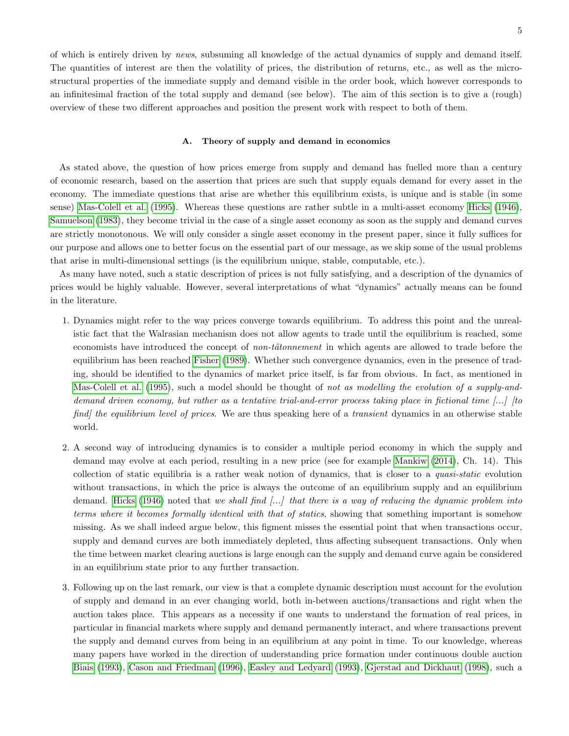of which is entirely driven by news, subsuming all knowledge of the actual dynamics of supply and demand itself. The quantities of interest are then the volatility of prices, the distribution of returns, etc., as well as the microstructural properties of the immediate supply and demand visible in the order book, which however corresponds to an infinitesimal fraction of the total supply and demand (see below). The aim of this section is to give a (rough) overview of these two different approaches and position the present work with respect to both of them.

### <span id="page-4-0"></span>A. Theory of supply and demand in economics

As stated above, the question of how prices emerge from supply and demand has fuelled more than a century of economic research, based on the assertion that prices are such that supply equals demand for every asset in the economy. The immediate questions that arise are whether this equilibrium exists, is unique and is stable (in some sense) [Mas-Colell et al.](#page-24-8) [\(1995\)](#page-24-8). Whereas these questions are rather subtle in a multi-asset economy [Hicks](#page-23-14) [\(1946\)](#page-23-14), [Samuelson](#page-24-9) [\(1983\)](#page-24-9), they become trivial in the case of a single asset economy as soon as the supply and demand curves are strictly monotonous. We will only consider a single asset economy in the present paper, since it fully suffices for our purpose and allows one to better focus on the essential part of our message, as we skip some of the usual problems that arise in multi-dimensional settings (is the equilibrium unique, stable, computable, etc.).

As many have noted, such a static description of prices is not fully satisfying, and a description of the dynamics of prices would be highly valuable. However, several interpretations of what "dynamics" actually means can be found in the literature.

- 1. Dynamics might refer to the way prices converge towards equilibrium. To address this point and the unrealistic fact that the Walrasian mechanism does not allow agents to trade until the equilibrium is reached, some economists have introduced the concept of *non-tâtonnement* in which agents are allowed to trade before the equilibrium has been reached [Fisher](#page-23-15) [\(1989\)](#page-23-15). Whether such convergence dynamics, even in the presence of trading, should be identified to the dynamics of market price itself, is far from obvious. In fact, as mentioned in [Mas-Colell et al.](#page-24-8) [\(1995\)](#page-24-8), such a model should be thought of not as modelling the evolution of a supply-anddemand driven economy, but rather as a tentative trial-and-error process taking place in fictional time  $\left[\ldots\right]$  (to find] the equilibrium level of prices. We are thus speaking here of a transient dynamics in an otherwise stable world.
- 2. A second way of introducing dynamics is to consider a multiple period economy in which the supply and demand may evolve at each period, resulting in a new price (see for example [Mankiw](#page-24-10) [\(2014\)](#page-24-10), Ch. 14). This collection of static equilibria is a rather weak notion of dynamics, that is closer to a quasi-static evolution without transactions, in which the price is always the outcome of an equilibrium supply and an equilibrium demand. [Hicks](#page-23-14) [\(1946\)](#page-23-14) noted that we shall find  $\left[\ldots\right]$  that there is a way of reducing the dynamic problem into terms where it becomes formally identical with that of statics, showing that something important is somehow missing. As we shall indeed argue below, this figment misses the essential point that when transactions occur, supply and demand curves are both immediately depleted, thus affecting subsequent transactions. Only when the time between market clearing auctions is large enough can the supply and demand curve again be considered in an equilibrium state prior to any further transaction.
- 3. Following up on the last remark, our view is that a complete dynamic description must account for the evolution of supply and demand in an ever changing world, both in-between auctions/transactions and right when the auction takes place. This appears as a necessity if one wants to understand the formation of real prices, in particular in financial markets where supply and demand permanently interact, and where transactions prevent the supply and demand curves from being in an equilibrium at any point in time. To our knowledge, whereas many papers have worked in the direction of understanding price formation under continuous double auction [Biais](#page-22-12) [\(1993\)](#page-22-12), [Cason and Friedman](#page-22-13) [\(1996\)](#page-22-13), [Easley and Ledyard](#page-23-16) [\(1993\)](#page-23-16), [Gjerstad and Dickhaut](#page-23-17) [\(1998\)](#page-23-17), such a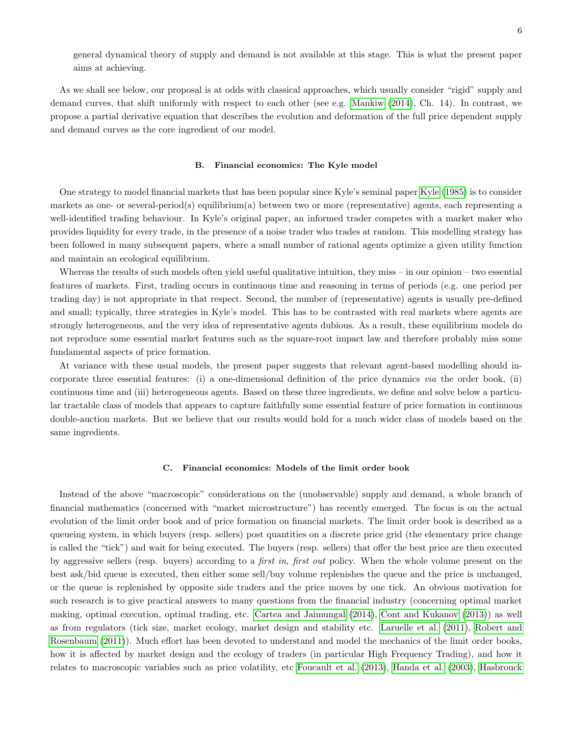general dynamical theory of supply and demand is not available at this stage. This is what the present paper aims at achieving.

As we shall see below, our proposal is at odds with classical approaches, which usually consider "rigid" supply and demand curves, that shift uniformly with respect to each other (see e.g. [Mankiw](#page-24-10) [\(2014\)](#page-24-10), Ch. 14). In contrast, we propose a partial derivative equation that describes the evolution and deformation of the full price dependent supply and demand curves as the core ingredient of our model.

## <span id="page-5-0"></span>B. Financial economics: The Kyle model

One strategy to model financial markets that has been popular since Kyle's seminal paper [Kyle](#page-23-7) [\(1985\)](#page-23-7) is to consider markets as one- or several-period(s) equilibrium(a) between two or more (representative) agents, each representing a well-identified trading behaviour. In Kyle's original paper, an informed trader competes with a market maker who provides liquidity for every trade, in the presence of a noise trader who trades at random. This modelling strategy has been followed in many subsequent papers, where a small number of rational agents optimize a given utility function and maintain an ecological equilibrium.

Whereas the results of such models often yield useful qualitative intuition, they miss – in our opinion – two essential features of markets. First, trading occurs in continuous time and reasoning in terms of periods (e.g. one period per trading day) is not appropriate in that respect. Second, the number of (representative) agents is usually pre-defined and small; typically, three strategies in Kyle's model. This has to be contrasted with real markets where agents are strongly heterogeneous, and the very idea of representative agents dubious. As a result, these equilibrium models do not reproduce some essential market features such as the square-root impact law and therefore probably miss some fundamental aspects of price formation.

At variance with these usual models, the present paper suggests that relevant agent-based modelling should incorporate three essential features: (i) a one-dimensional definition of the price dynamics via the order book, (ii) continuous time and (iii) heterogeneous agents. Based on these three ingredients, we define and solve below a particular tractable class of models that appears to capture faithfully some essential feature of price formation in continuous double-auction markets. But we believe that our results would hold for a much wider class of models based on the same ingredients.

### C. Financial economics: Models of the limit order book

Instead of the above "macroscopic" considerations on the (unobservable) supply and demand, a whole branch of financial mathematics (concerned with "market microstructure") has recently emerged. The focus is on the actual evolution of the limit order book and of price formation on financial markets. The limit order book is described as a queueing system, in which buyers (resp. sellers) post quantities on a discrete price grid (the elementary price change is called the "tick") and wait for being executed. The buyers (resp. sellers) that offer the best price are then executed by aggressive sellers (resp. buyers) according to a first in, first out policy. When the whole volume present on the best ask/bid queue is executed, then either some sell/buy volume replenishes the queue and the price is unchanged, or the queue is replenished by opposite side traders and the price moves by one tick. An obvious motivation for such research is to give practical answers to many questions from the financial industry (concerning optimal market making, optimal execution, optimal trading, etc. [Cartea and Jaimungal](#page-22-14) [\(2014\)](#page-22-14), [Cont and Kukanov](#page-22-15) [\(2013\)](#page-22-15)) as well as from regulators (tick size, market ecology, market design and stability etc. [Laruelle et al.](#page-23-18) [\(2011\)](#page-23-18), [Robert and](#page-24-11) [Rosenbaum](#page-24-11) [\(2011\)](#page-24-11)). Much effort has been devoted to understand and model the mechanics of the limit order books, how it is affected by market design and the ecology of traders (in particular High Frequency Trading), and how it relates to macroscopic variables such as price volatility, etc [Foucault et al.](#page-23-4) [\(2013\)](#page-23-4), [Handa et al.](#page-23-5) [\(2003\)](#page-23-5), [Hasbrouck](#page-23-19)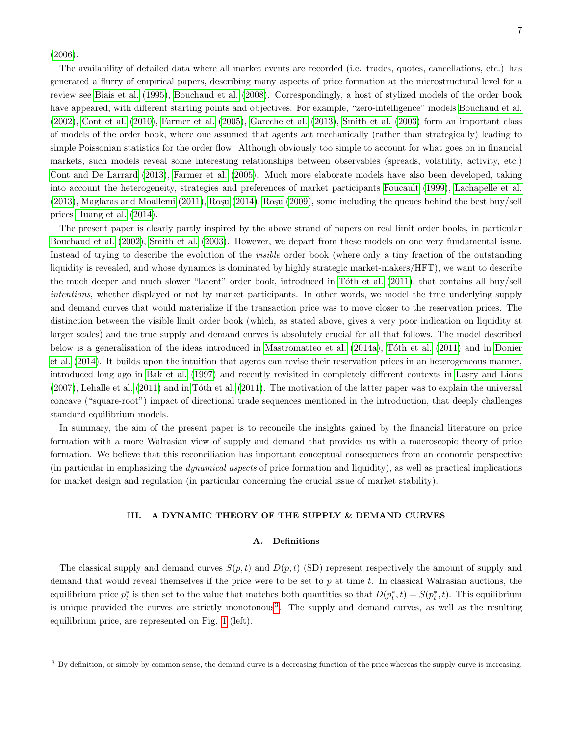[\(2006\)](#page-23-19).

The availability of detailed data where all market events are recorded (i.e. trades, quotes, cancellations, etc.) has generated a flurry of empirical papers, describing many aspects of price formation at the microstructural level for a review see [Biais et al.](#page-22-16) [\(1995\)](#page-22-16), [Bouchaud et al.](#page-22-1) [\(2008\)](#page-22-1). Correspondingly, a host of stylized models of the order book have appeared, with different starting points and objectives. For example, "zero-intelligence" models [Bouchaud et al.](#page-22-17) [\(2002\)](#page-22-17), [Cont et al.](#page-22-18) [\(2010\)](#page-22-18), [Farmer et al.](#page-23-20) [\(2005\)](#page-23-20), [Gareche et al.](#page-23-21) [\(2013\)](#page-23-21), [Smith et al.](#page-24-12) [\(2003\)](#page-24-12) form an important class of models of the order book, where one assumed that agents act mechanically (rather than strategically) leading to simple Poissonian statistics for the order flow. Although obviously too simple to account for what goes on in financial markets, such models reveal some interesting relationships between observables (spreads, volatility, activity, etc.) [Cont and De Larrard](#page-22-19) [\(2013\)](#page-22-19), [Farmer et al.](#page-23-20) [\(2005\)](#page-23-20). Much more elaborate models have also been developed, taking into account the heterogeneity, strategies and preferences of market participants [Foucault](#page-23-22) [\(1999\)](#page-23-22), [Lachapelle et al.](#page-23-23)  $(2013)$ , [Maglaras and Moallemi](#page-24-13)  $(2011)$ , Ro $\mathrm{su}$   $(2014)$ , Ro $\mathrm{su}$   $(2009)$ , some including the queues behind the best buy/sell prices [Huang et al.](#page-23-24) [\(2014\)](#page-23-24).

The present paper is clearly partly inspired by the above strand of papers on real limit order books, in particular [Bouchaud et al.](#page-22-17) [\(2002\)](#page-22-17), [Smith et al.](#page-24-12) [\(2003\)](#page-24-12). However, we depart from these models on one very fundamental issue. Instead of trying to describe the evolution of the visible order book (where only a tiny fraction of the outstanding liquidity is revealed, and whose dynamics is dominated by highly strategic market-makers/HFT), we want to describe the much deeper and much slower "latent" order book, introduced in Tôth et al. [\(2011\)](#page-24-6), that contains all buy/sell intentions, whether displayed or not by market participants. In other words, we model the true underlying supply and demand curves that would materialize if the transaction price was to move closer to the reservation prices. The distinction between the visible limit order book (which, as stated above, gives a very poor indication on liquidity at larger scales) and the true supply and demand curves is absolutely crucial for all that follows. The model described below is a generalisation of the ideas introduced in [Mastromatteo et al.](#page-24-3) [\(2014a\)](#page-24-3), Tôth et al. [\(2011\)](#page-24-6) and in [Donier](#page-22-5) [et al.](#page-22-5) [\(2014\)](#page-22-5). It builds upon the intuition that agents can revise their reservation prices in an heterogeneous manner, introduced long ago in [Bak et al.](#page-22-20) [\(1997\)](#page-22-20) and recently revisited in completely different contexts in [Lasry and Lions](#page-23-12)  $(2007)$ , [Lehalle et al.](#page-23-25)  $(2011)$  and in Tôth et al.  $(2011)$ . The motivation of the latter paper was to explain the universal concave ("square-root") impact of directional trade sequences mentioned in the introduction, that deeply challenges standard equilibrium models.

In summary, the aim of the present paper is to reconcile the insights gained by the financial literature on price formation with a more Walrasian view of supply and demand that provides us with a macroscopic theory of price formation. We believe that this reconciliation has important conceptual consequences from an economic perspective (in particular in emphasizing the dynamical aspects of price formation and liquidity), as well as practical implications for market design and regulation (in particular concerning the crucial issue of market stability).

## <span id="page-6-0"></span>III. A DYNAMIC THEORY OF THE SUPPLY & DEMAND CURVES

### A. Definitions

The classical supply and demand curves  $S(p, t)$  and  $D(p, t)$  (SD) represent respectively the amount of supply and demand that would reveal themselves if the price were to be set to  $p$  at time  $t$ . In classical Walrasian auctions, the equilibrium price  $p_t^*$  is then set to the value that matches both quantities so that  $D(p_t^*, t) = S(p_t^*, t)$ . This equilibrium is unique provided the curves are strictly monotonous<sup>[3](#page-6-1)</sup>. The supply and demand curves, as well as the resulting equilibrium price, are represented on Fig. [1](#page-2-1) (left).

<span id="page-6-1"></span><sup>&</sup>lt;sup>3</sup> By definition, or simply by common sense, the demand curve is a decreasing function of the price whereas the supply curve is increasing.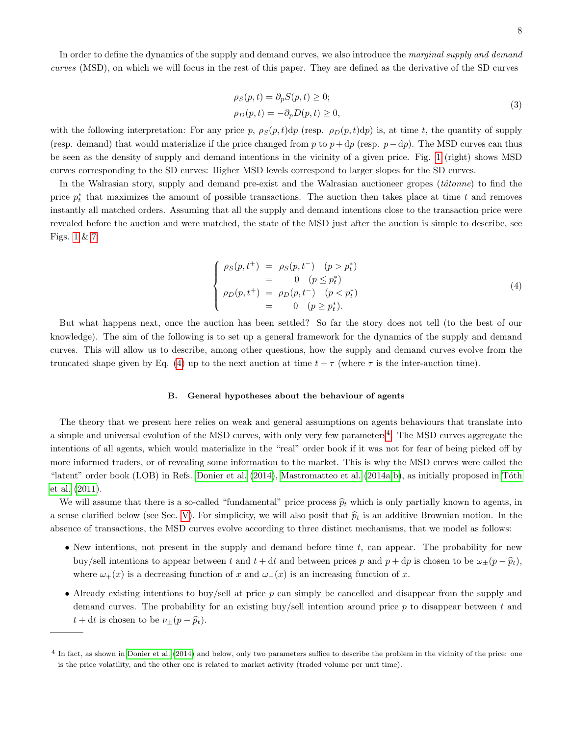In order to define the dynamics of the supply and demand curves, we also introduce the marginal supply and demand curves (MSD), on which we will focus in the rest of this paper. They are defined as the derivative of the SD curves

$$
\rho_S(p, t) = \partial_p S(p, t) \ge 0; \n\rho_D(p, t) = -\partial_p D(p, t) \ge 0,
$$
\n(3)

with the following interpretation: For any price p,  $\rho_S(p, t)dp$  (resp.  $\rho_D(p, t)dp$ ) is, at time t, the quantity of supply (resp. demand) that would materialize if the price changed from p to  $p+dp$  (resp.  $p-dp$ ). The MSD curves can thus be seen as the density of supply and demand intentions in the vicinity of a given price. Fig. [1](#page-2-1) (right) shows MSD curves corresponding to the SD curves: Higher MSD levels correspond to larger slopes for the SD curves.

In the Walrasian story, supply and demand pre-exist and the Walrasian auctioneer gropes  $(t\hat{a}tonne)$  to find the price  $p_t^*$  that maximizes the amount of possible transactions. The auction then takes place at time t and removes instantly all matched orders. Assuming that all the supply and demand intentions close to the transaction price were revealed before the auction and were matched, the state of the MSD just after the auction is simple to describe, see Figs. [1](#page-2-1) & [7:](#page-17-0)

<span id="page-7-0"></span>
$$
\begin{cases}\n\rho_S(p, t^+) = \rho_S(p, t^-) & (p > p_t^*) \\
= 0 & (p \le p_t^*) \\
\rho_D(p, t^+) = \rho_D(p, t^-) & (p < p_t^*) \\
= 0 & (p \ge p_t^*).\n\end{cases}
$$
\n(4)

But what happens next, once the auction has been settled? So far the story does not tell (to the best of our knowledge). The aim of the following is to set up a general framework for the dynamics of the supply and demand curves. This will allow us to describe, among other questions, how the supply and demand curves evolve from the truncated shape given by Eq. [\(4\)](#page-7-0) up to the next auction at time  $t + \tau$  (where  $\tau$  is the inter-auction time).

### <span id="page-7-2"></span>B. General hypotheses about the behaviour of agents

The theory that we present here relies on weak and general assumptions on agents behaviours that translate into a simple and universal evolution of the MSD curves, with only very few parameters<sup>[4](#page-7-1)</sup>. The MSD curves aggregate the intentions of all agents, which would materialize in the "real" order book if it was not for fear of being picked off by more informed traders, or of revealing some information to the market. This is why the MSD curves were called the "latent" order book (LOB) in Refs. [Donier et al.](#page-22-5) [\(2014\)](#page-22-5), [Mastromatteo et al.](#page-24-3) [\(2014a,](#page-24-3)[b\)](#page-24-7), as initially proposed in Tôth [et al.](#page-24-6) [\(2011\)](#page-24-6).

We will assume that there is a so-called "fundamental" price process  $\hat{p}_t$  which is only partially known to agents, in a sense clarified below (see Sec. [V\)](#page-18-0). For simplicity, we will also posit that  $\hat{p}_t$  is an additive Brownian motion. In the absence of transactions, the MSD curves evolve according to three distinct mechanisms, that we model as follows:

- New intentions, not present in the supply and demand before time  $t$ , can appear. The probability for new buy/sell intentions to appear between t and  $t + dt$  and between prices p and  $p + dp$  is chosen to be  $\omega_{\pm}(p - \hat{p}_t)$ , where  $\omega_+(x)$  is a decreasing function of x and  $\omega_-(x)$  is an increasing function of x.
- Already existing intentions to buy/sell at price  $p$  can simply be cancelled and disappear from the supply and demand curves. The probability for an existing buy/sell intention around price  $p$  to disappear between  $t$  and  $t + dt$  is chosen to be  $\nu_{\pm}(p - \widehat{p}_t)$ .

<span id="page-7-1"></span><sup>4</sup> In fact, as shown in [Donier et al.](#page-22-5) [\(2014\)](#page-22-5) and below, only two parameters suffice to describe the problem in the vicinity of the price: one is the price volatility, and the other one is related to market activity (traded volume per unit time).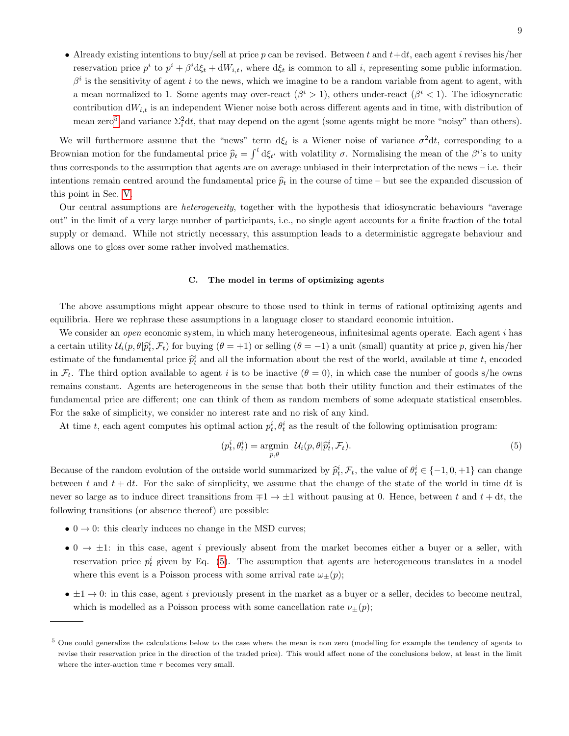• Already existing intentions to buy/sell at price  $p$  can be revised. Between  $t$  and  $t+dt$ , each agent  $i$  revises his/her reservation price  $p^i$  to  $p^i + \beta^i \mathrm{d}\xi_t + \mathrm{d}W_{i,t}$ , where  $\mathrm{d}\xi_t$  is common to all i, representing some public information.  $\beta^i$  is the sensitivity of agent i to the news, which we imagine to be a random variable from agent to agent, with a mean normalized to 1. Some agents may over-react  $(\beta^i > 1)$ , others under-react  $(\beta^i < 1)$ . The idiosyncratic contribution  $dW_{i,t}$  is an independent Wiener noise both across different agents and in time, with distribution of mean zero<sup>[5](#page-8-1)</sup> and variance  $\Sigma_i^2 dt$ , that may depend on the agent (some agents might be more "noisy" than others).

We will furthermore assume that the "news" term  $d\xi_t$  is a Wiener noise of variance  $\sigma^2 dt$ , corresponding to a Brownian motion for the fundamental price  $\hat{p}_t = \int^t d\xi_t$ , with volatility  $\sigma$ . Normalising the mean of the  $\beta^{i}$ 's to unity thus corresponds to the assumption that agents are on average unbiased in their interpretation of the news – i.e. their intentions remain centred around the fundamental price  $\hat{p}_t$  in the course of time – but see the expanded discussion of this point in Sec. [V.](#page-18-0)

Our central assumptions are heterogeneity, together with the hypothesis that idiosyncratic behaviours "average out" in the limit of a very large number of participants, i.e., no single agent accounts for a finite fraction of the total supply or demand. While not strictly necessary, this assumption leads to a deterministic aggregate behaviour and allows one to gloss over some rather involved mathematics.

## <span id="page-8-0"></span>C. The model in terms of optimizing agents

The above assumptions might appear obscure to those used to think in terms of rational optimizing agents and equilibria. Here we rephrase these assumptions in a language closer to standard economic intuition.

We consider an *open* economic system, in which many heterogeneous, infinitesimal agents operate. Each agent i has a certain utility  $\mathcal{U}_i(p, \theta | \hat{p}_t^i, \mathcal{F}_t)$  for buying  $(\theta = +1)$  or selling  $(\theta = -1)$  a unit (small) quantity at price p, given his/her estimate of the fundamental price  $\hat{p}_t^i$  and all the information about the rest of the world, available at time t, encoded in  $\mathcal{F}_t$ . The third option available to agent i is to be inactive  $(\theta = 0)$ , in which case the number of goods s/he owns remains constant. Agents are heterogeneous in the sense that both their utility function and their estimates of the fundamental price are different; one can think of them as random members of some adequate statistical ensembles. For the sake of simplicity, we consider no interest rate and no risk of any kind.

At time t, each agent computes his optimal action  $p_t^i, \theta_t^i$  as the result of the following optimisation program:

<span id="page-8-2"></span>
$$
(p_t^i, \theta_t^i) = \underset{p, \theta}{\text{argmin}} \ \mathcal{U}_i(p, \theta | \widehat{p}_t^i, \mathcal{F}_t). \tag{5}
$$

Because of the random evolution of the outside world summarized by  $\hat{p}_t^i$ ,  $\mathcal{F}_t$ , the value of  $\theta_t^i \in \{-1, 0, +1\}$  can change between t and  $t + dt$ . For the sake of simplicity, we assume that the change of the state of the world in time dt is never so large as to induce direct transitions from  $\mp 1 \rightarrow \pm 1$  without pausing at 0. Hence, between t and  $t + dt$ , the following transitions (or absence thereof) are possible:

- $0 \rightarrow 0$ : this clearly induces no change in the MSD curves;
- 0  $\rightarrow \pm 1$ : in this case, agent *i* previously absent from the market becomes either a buyer or a seller, with reservation price  $p_t^i$  given by Eq. [\(5\)](#page-8-2). The assumption that agents are heterogeneous translates in a model where this event is a Poisson process with some arrival rate  $\omega_{\pm}(p)$ ;
- $\bullet \pm 1 \rightarrow 0$ : in this case, agent *i* previously present in the market as a buyer or a seller, decides to become neutral, which is modelled as a Poisson process with some cancellation rate  $\nu_{\pm}(p)$ ;

<span id="page-8-1"></span><sup>&</sup>lt;sup>5</sup> One could generalize the calculations below to the case where the mean is non zero (modelling for example the tendency of agents to revise their reservation price in the direction of the traded price). This would affect none of the conclusions below, at least in the limit where the inter-auction time  $\tau$  becomes very small.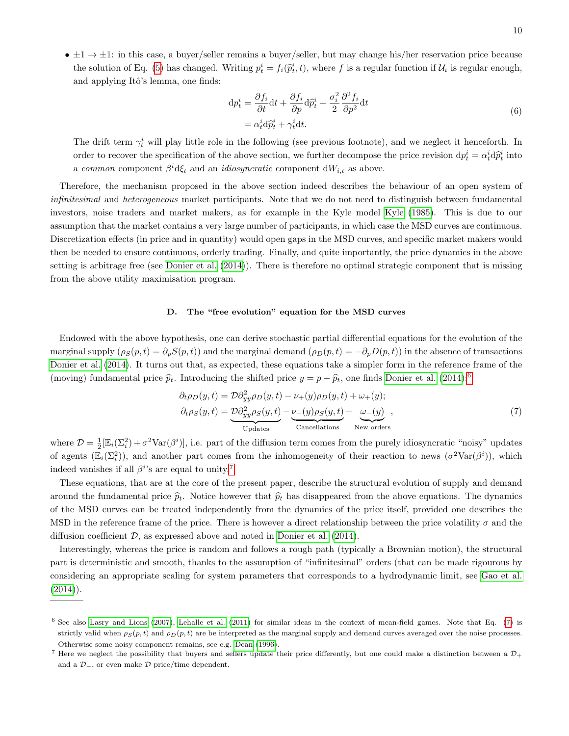$\bullet \pm 1 \rightarrow \pm 1$ : in this case, a buyer/seller remains a buyer/seller, but may change his/her reservation price because the solution of Eq. [\(5\)](#page-8-2) has changed. Writing  $p_t^i = f_i(\hat{p}_t^i, t)$ , where f is a regular function if  $\mathcal{U}_i$  is regular enough, and applying Itô's lemma, one finds:

$$
\begin{split} \mathrm{d}p_{t}^{i} &= \frac{\partial f_{i}}{\partial t} \mathrm{d}t + \frac{\partial f_{i}}{\partial p} \mathrm{d}\hat{p}_{t}^{i} + \frac{\sigma_{i}^{2}}{2} \frac{\partial^{2} f_{i}}{\partial p^{2}} \mathrm{d}t \\ &= \alpha_{t}^{i} \mathrm{d}\hat{p}_{t}^{i} + \gamma_{t}^{i} \mathrm{d}t. \end{split} \tag{6}
$$

The drift term  $\gamma_t^i$  will play little role in the following (see previous footnote), and we neglect it henceforth. In order to recover the specification of the above section, we further decompose the price revision  $dp_t^i = \alpha_t^i d\hat{p}_t^i$  into a common component  $\beta^i$ d $\xi_t$  and an *idiosyncratic* component d $W_{i,t}$  as above.

Therefore, the mechanism proposed in the above section indeed describes the behaviour of an open system of infinitesimal and heterogeneous market participants. Note that we do not need to distinguish between fundamental investors, noise traders and market makers, as for example in the Kyle model [Kyle](#page-23-7) [\(1985\)](#page-23-7). This is due to our assumption that the market contains a very large number of participants, in which case the MSD curves are continuous. Discretization effects (in price and in quantity) would open gaps in the MSD curves, and specific market makers would then be needed to ensure continuous, orderly trading. Finally, and quite importantly, the price dynamics in the above setting is arbitrage free (see [Donier et al.](#page-22-5) [\(2014\)](#page-22-5)). There is therefore no optimal strategic component that is missing from the above utility maximisation program.

## D. The "free evolution" equation for the MSD curves

Endowed with the above hypothesis, one can derive stochastic partial differential equations for the evolution of the marginal supply  $(\rho_S(p, t) = \partial_p S(p, t))$  and the marginal demand  $(\rho_D(p, t) = -\partial_p D(p, t))$  in the absence of transactions [Donier et al.](#page-22-5) [\(2014\)](#page-22-5). It turns out that, as expected, these equations take a simpler form in the reference frame of the (moving) fundamental price  $\hat{p}_t$ . Introducing the shifted price  $y = p - \hat{p}_t$ , one finds [Donier et al.](#page-22-5) [\(2014\)](#page-22-5):<sup>[6](#page-9-0)</sup>

<span id="page-9-2"></span>
$$
\partial_t \rho_D(y, t) = \mathcal{D} \partial_{yy}^2 \rho_D(y, t) - \nu_+(y) \rho_D(y, t) + \omega_+(y);
$$
  
\n
$$
\partial_t \rho_S(y, t) = \underbrace{\mathcal{D} \partial_{yy}^2 \rho_S(y, t)}_{\text{Update}} - \underbrace{\nu_-(y) \rho_S(y, t)}_{\text{Cancellation}} + \underbrace{\omega_-(y)}_{\text{New orders}},
$$
\n(7)

where  $\mathcal{D} = \frac{1}{2} [\mathbb{E}_i(\Sigma_i^2) + \sigma^2 \text{Var}(\beta^i)]$ , i.e. part of the diffusion term comes from the purely idiosyncratic "noisy" updates of agents  $(\mathbb{E}_i(\Sigma_i^2))$ , and another part comes from the inhomogeneity of their reaction to news  $(\sigma^2 \text{Var}(\beta^i))$ , which indeed vanishes if all  $\beta^{i}$ 's are equal to unity.<sup>[7](#page-9-1)</sup>

These equations, that are at the core of the present paper, describe the structural evolution of supply and demand around the fundamental price  $\hat{p}_t$ . Notice however that  $\hat{p}_t$  has disappeared from the above equations. The dynamics of the MSD curves can be treated independently from the dynamics of the price itself, provided one describes the MSD in the reference frame of the price. There is however a direct relationship between the price volatility  $\sigma$  and the diffusion coefficient  $D$ , as expressed above and noted in [Donier et al.](#page-22-5)  $(2014)$ .

Interestingly, whereas the price is random and follows a rough path (typically a Brownian motion), the structural part is deterministic and smooth, thanks to the assumption of "infinitesimal" orders (that can be made rigourous by considering an appropriate scaling for system parameters that corresponds to a hydrodynamic limit, see [Gao et al.](#page-23-26)  $(2014)$ .

<span id="page-9-0"></span> $6$  See also [Lasry and Lions](#page-23-12) [\(2007\)](#page-23-12), [Lehalle et al.](#page-23-25) [\(2011\)](#page-23-25) for similar ideas in the context of mean-field games. Note that Eq. [\(7\)](#page-9-2) is strictly valid when  $\rho_S(p, t)$  and  $\rho_D(p, t)$  are be interpreted as the marginal supply and demand curves averaged over the noise processes. Otherwise some noisy component remains, see e.g. [Dean](#page-22-21) [\(1996\)](#page-22-21).

<span id="page-9-1"></span><sup>&</sup>lt;sup>7</sup> Here we neglect the possibility that buyers and sellers update their price differently, but one could make a distinction between a  $\mathcal{D}_+$ and a  $\mathcal{D}_-$ , or even make  $\mathcal D$  price/time dependent.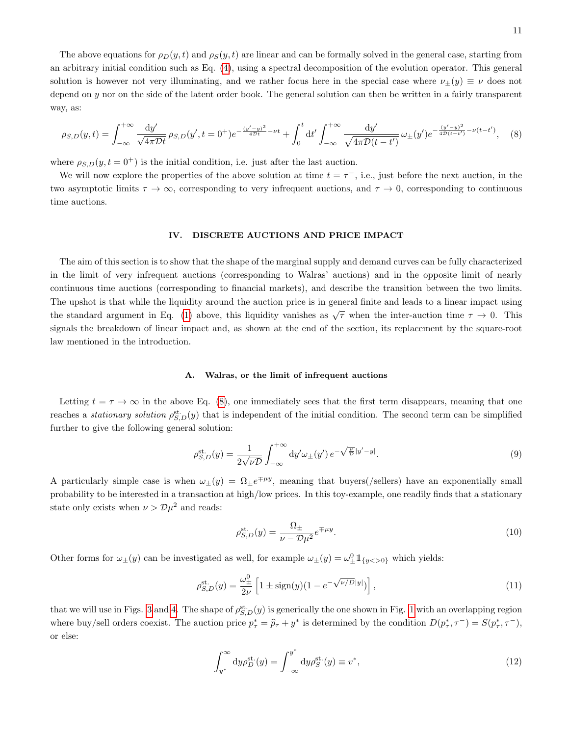The above equations for  $\rho_D(y, t)$  and  $\rho_S(y, t)$  are linear and can be formally solved in the general case, starting from an arbitrary initial condition such as Eq. [\(4\)](#page-7-0), using a spectral decomposition of the evolution operator. This general solution is however not very illuminating, and we rather focus here in the special case where  $\nu_{\pm}(y) \equiv \nu$  does not depend on y nor on the side of the latent order book. The general solution can then be written in a fairly transparent way, as:

<span id="page-10-1"></span>
$$
\rho_{S,D}(y,t) = \int_{-\infty}^{+\infty} \frac{dy'}{\sqrt{4\pi Dt}} \, \rho_{S,D}(y',t=0^+) e^{-\frac{(y'-y)^2}{4Dt} - \nu t} + \int_0^t dt' \int_{-\infty}^{+\infty} \frac{dy'}{\sqrt{4\pi D(t-t')}} \, \omega_{\pm}(y') e^{-\frac{(y'-y)^2}{4D(t-t')}} \, \nu(t-t'), \quad (8)
$$

where  $\rho_{S,D}(y, t=0^+)$  is the initial condition, i.e. just after the last auction.

We will now explore the properties of the above solution at time  $t = \tau^{-}$ , i.e., just before the next auction, in the two asymptotic limits  $\tau \to \infty$ , corresponding to very infrequent auctions, and  $\tau \to 0$ , corresponding to continuous time auctions.

## <span id="page-10-0"></span>IV. DISCRETE AUCTIONS AND PRICE IMPACT

The aim of this section is to show that the shape of the marginal supply and demand curves can be fully characterized in the limit of very infrequent auctions (corresponding to Walras' auctions) and in the opposite limit of nearly continuous time auctions (corresponding to financial markets), and describe the transition between the two limits. The upshot is that while the liquidity around the auction price is in general finite and leads to a linear impact using the standard argument in Eq. [\(1\)](#page-2-2) above, this liquidity vanishes as  $\sqrt{\tau}$  when the inter-auction time  $\tau \to 0$ . This signals the breakdown of linear impact and, as shown at the end of the section, its replacement by the square-root law mentioned in the introduction.

#### A. Walras, or the limit of infrequent auctions

Letting  $t = \tau \to \infty$  in the above Eq. [\(8\)](#page-10-1), one immediately sees that the first term disappears, meaning that one reaches a *stationary solution*  $\rho_{S,D}^{\text{st.}}(y)$  that is independent of the initial condition. The second term can be simplified further to give the following general solution:

<span id="page-10-2"></span>
$$
\rho_{S,D}^{\text{st}}(y) = \frac{1}{2\sqrt{\nu D}} \int_{-\infty}^{+\infty} \mathrm{d}y' \omega_{\pm}(y') \, e^{-\sqrt{\frac{\nu}{D}}|y'-y|}.\tag{9}
$$

A particularly simple case is when  $\omega_{\pm}(y) = \Omega_{\pm}e^{\mp \mu y}$ , meaning that buyers(/sellers) have an exponentially small probability to be interested in a transaction at high/low prices. In this toy-example, one readily finds that a stationary state only exists when  $\nu > \mathcal{D}\mu^2$  and reads:

$$
\rho_{S,D}^{\text{st}}(y) = \frac{\Omega_{\pm}}{\nu - \mathcal{D}\mu^2} e^{\mp \mu y}.
$$
\n(10)

Other forms for  $\omega_{\pm}(y)$  can be investigated as well, for example  $\omega_{\pm}(y) = \omega_{\pm}^{0} \mathbb{1}_{\{y < 0\}}$  which yields:

$$
\rho_{S,D}^{\text{st.}}(y) = \frac{\omega_{\pm}^{0}}{2\nu} \left[ 1 \pm \text{sign}(y)(1 - e^{-\sqrt{\nu/D}|y|}) \right],\tag{11}
$$

that we will use in Figs. [3](#page-13-0) and [4.](#page-14-0) The shape of  $\rho_{S,D}^{\text{st}}(y)$  is generically the one shown in Fig. [1](#page-2-1) with an overlapping region where buy/sell orders coexist. The auction price  $p_{\tau}^* = \hat{p}_{\tau} + y^*$  is determined by the condition  $D(p_{\tau}^*, \tau^-) = S(p_{\tau}^*, \tau^-)$ , or else:

$$
\int_{y^*}^{\infty} dy \rho_D^{\text{st.}}(y) = \int_{-\infty}^{y^*} dy \rho_S^{\text{st.}}(y) \equiv v^*,\tag{12}
$$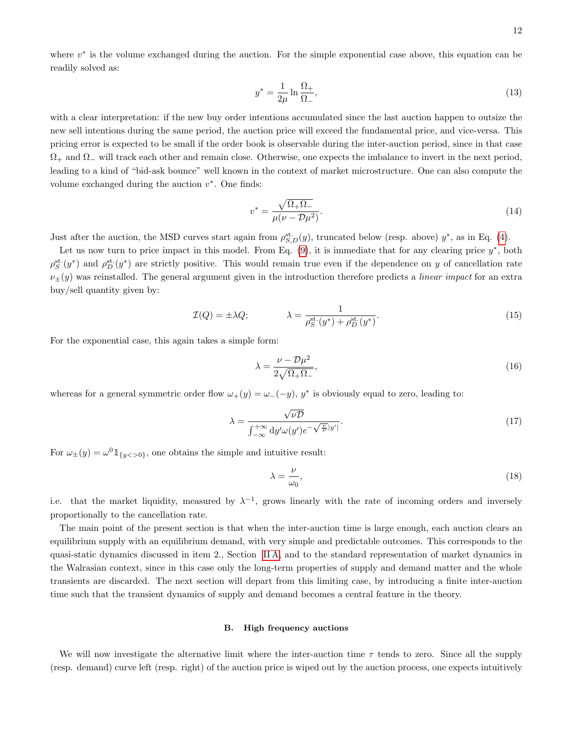where  $v^*$  is the volume exchanged during the auction. For the simple exponential case above, this equation can be readily solved as:

$$
y^* = \frac{1}{2\mu} \ln \frac{\Omega_+}{\Omega_-},\tag{13}
$$

with a clear interpretation: if the new buy order intentions accumulated since the last auction happen to outsize the new sell intentions during the same period, the auction price will exceed the fundamental price, and vice-versa. This pricing error is expected to be small if the order book is observable during the inter-auction period, since in that case  $\Omega_+$  and  $\Omega_-$  will track each other and remain close. Otherwise, one expects the imbalance to invert in the next period, leading to a kind of "bid-ask bounce" well known in the context of market microstructure. One can also compute the volume exchanged during the auction  $v^*$ . One finds:

$$
v^* = \frac{\sqrt{\Omega_+ \Omega_-}}{\mu(\nu - \mathcal{D}\mu^2)}.\tag{14}
$$

Just after the auction, the MSD curves start again from  $\rho_{S,D}^{\text{st}}(y)$ , truncated below (resp. above)  $y^*$ , as in Eq. [\(4\)](#page-7-0).

Let us now turn to price impact in this model. From Eq.  $(9)$ , it is immediate that for any clearing price  $y^*$ , both  $\rho_S^{\text{st.}}(y^*)$  and  $\rho_D^{\text{st.}}(y^*)$  are strictly positive. This would remain true even if the dependence on y of cancellation rate  $\nu_{\pm}(y)$  was reinstalled. The general argument given in the introduction therefore predicts a *linear impact* for an extra buy/sell quantity given by:

$$
\mathcal{I}(Q) = \pm \lambda Q; \qquad \lambda = \frac{1}{\rho_S^{\text{st.}}(y^*) + \rho_D^{\text{st.}}(y^*)}.
$$
\n(15)

For the exponential case, this again takes a simple form:

$$
\lambda = \frac{\nu - \mathcal{D}\mu^2}{2\sqrt{\Omega_+\Omega_-}},\tag{16}
$$

whereas for a general symmetric order flow  $\omega_{+}(y) = \omega_{-}(-y)$ ,  $y^*$  is obviously equal to zero, leading to:

$$
\lambda = \frac{\sqrt{\nu D}}{\int_{-\infty}^{+\infty} dy' \omega(y') e^{-\sqrt{\frac{\nu}{D}}|y'|}}.
$$
\n(17)

For  $\omega_{\pm}(y) = \omega^0 \mathbb{1}_{\{y < >0\}}$ , one obtains the simple and intuitive result:

$$
\lambda = \frac{\nu}{\omega_0},\tag{18}
$$

i.e. that the market liquidity, measured by  $\lambda^{-1}$ , grows linearly with the rate of incoming orders and inversely proportionally to the cancellation rate.

The main point of the present section is that when the inter-auction time is large enough, each auction clears an equilibrium supply with an equilibrium demand, with very simple and predictable outcomes. This corresponds to the quasi-static dynamics discussed in item 2., Section [II A,](#page-4-0) and to the standard representation of market dynamics in the Walrasian context, since in this case only the long-term properties of supply and demand matter and the whole transients are discarded. The next section will depart from this limiting case, by introducing a finite inter-auction time such that the transient dynamics of supply and demand becomes a central feature in the theory.

## B. High frequency auctions

We will now investigate the alternative limit where the inter-auction time  $\tau$  tends to zero. Since all the supply (resp. demand) curve left (resp. right) of the auction price is wiped out by the auction process, one expects intuitively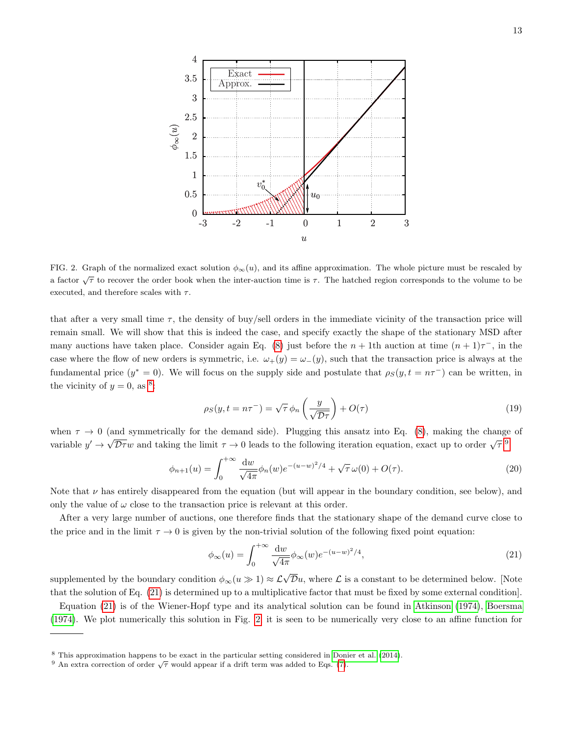

<span id="page-12-3"></span>FIG. 2. Graph of the normalized exact solution  $\phi_{\infty}(u)$ , and its affine approximation. The whole picture must be rescaled by a factor  $\sqrt{\tau}$  to recover the order book when the inter-auction time is  $\tau$ . The hatched region corresponds to the volume to be executed, and therefore scales with  $\tau$ .

that after a very small time  $\tau$ , the density of buy/sell orders in the immediate vicinity of the transaction price will remain small. We will show that this is indeed the case, and specify exactly the shape of the stationary MSD after many auctions have taken place. Consider again Eq. [\(8\)](#page-10-1) just before the  $n + 1$ th auction at time  $(n + 1)\tau^{-}$ , in the case where the flow of new orders is symmetric, i.e.  $\omega_{+}(y) = \omega_{-}(y)$ , such that the transaction price is always at the fundamental price  $(y^* = 0)$ . We will focus on the supply side and postulate that  $\rho_S(y, t = n\tau^-)$  can be written, in the vicinity of  $y = 0$ , as <sup>[8](#page-12-0)</sup>:

<span id="page-12-4"></span>
$$
\rho_S(y, t = n\tau^{-}) = \sqrt{\tau} \phi_n \left(\frac{y}{\sqrt{\mathcal{D}\tau}}\right) + O(\tau) \tag{19}
$$

when  $\tau \to 0$  (and symmetrically for the demand side). Plugging this ansatz into Eq. [\(8\)](#page-10-1), making the change of variable  $y' \to \sqrt{\mathcal{D}\tau}w$  and taking the limit  $\tau \to 0$  leads to the following iteration equation, exact up to order  $\sqrt{\tau}$ :<sup>[9](#page-12-1)</sup>

$$
\phi_{n+1}(u) = \int_0^{+\infty} \frac{\mathrm{d}w}{\sqrt{4\pi}} \phi_n(w) e^{-(u-w)^2/4} + \sqrt{\tau} \,\omega(0) + O(\tau). \tag{20}
$$

Note that  $\nu$  has entirely disappeared from the equation (but will appear in the boundary condition, see below), and only the value of  $\omega$  close to the transaction price is relevant at this order.

After a very large number of auctions, one therefore finds that the stationary shape of the demand curve close to the price and in the limit  $\tau \to 0$  is given by the non-trivial solution of the following fixed point equation:

<span id="page-12-2"></span>
$$
\phi_{\infty}(u) = \int_0^{+\infty} \frac{dw}{\sqrt{4\pi}} \phi_{\infty}(w) e^{-(u-w)^2/4},
$$
\n(21)

supplemented by the boundary condition  $\phi_{\infty}(u \gg 1) \approx \mathcal{L}\sqrt{\mathcal{D}}u$ , where  $\mathcal{L}$  is a constant to be determined below. [Note that the solution of Eq. [\(21\)](#page-12-2) is determined up to a multiplicative factor that must be fixed by some external condition].

Equation [\(21\)](#page-12-2) is of the Wiener-Hopf type and its analytical solution can be found in [Atkinson](#page-21-4) [\(1974\)](#page-21-4), [Boersma](#page-22-22) [\(1974\)](#page-22-22). We plot numerically this solution in Fig. [2;](#page-12-3) it is seen to be numerically very close to an affine function for

<span id="page-12-0"></span><sup>8</sup> This approximation happens to be exact in the particular setting considered in [Donier et al.](#page-22-5) [\(2014\)](#page-22-5).

<span id="page-12-1"></span><sup>&</sup>lt;sup>9</sup> An extra correction of order  $\sqrt{\tau}$  would appear if a drift term was added to Eqs. [\(7\)](#page-9-2).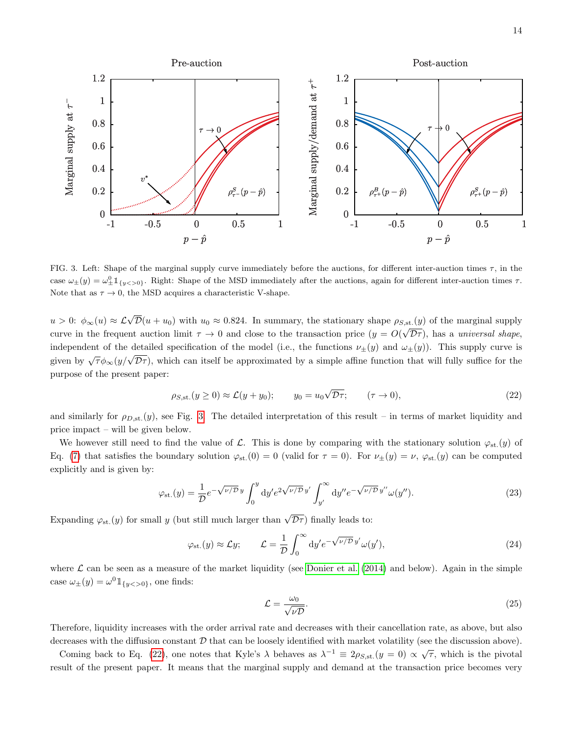14



<span id="page-13-0"></span>FIG. 3. Left: Shape of the marginal supply curve immediately before the auctions, for different inter-auction times  $\tau$ , in the case  $\omega_{\pm}(y) = \omega_{\pm}^{0} \mathbb{1}_{\{y < 0\}}$ . Right: Shape of the MSD immediately after the auctions, again for different inter-auction times  $\tau$ . Note that as  $\tau \to 0$ , the MSD acquires a characteristic V-shape.

 $u > 0$ :  $\phi_{\infty}(u) \approx \mathcal{L}\sqrt{\mathcal{D}}(u + u_0)$  with  $u_0 \approx 0.824$ . In summary, the stationary shape  $\rho_{S,\text{st.}}(y)$  of the marginal supply curve in the frequent auction limit  $\tau \to 0$  and close to the transaction price  $(y = O(\sqrt{D\tau})$ , has a universal shape, independent of the detailed specification of the model (i.e., the functions  $\nu_{\pm}(y)$  and  $\omega_{\pm}(y)$ ). This supply curve is given by  $\sqrt{\tau}\phi_{\infty}(y/\sqrt{D\tau})$ , which can itself be approximated by a simple affine function that will fully suffice for the purpose of the present paper:

<span id="page-13-1"></span>
$$
\rho_{S,\text{st.}}(y \ge 0) \approx \mathcal{L}(y + y_0); \qquad y_0 = u_0 \sqrt{\mathcal{D}\tau}; \qquad (\tau \to 0), \tag{22}
$$

and similarly for  $\rho_{D,\text{st.}}(y)$ , see Fig. [3.](#page-13-0) The detailed interpretation of this result – in terms of market liquidity and price impact – will be given below.

We however still need to find the value of L. This is done by comparing with the stationary solution  $\varphi_{st.}(y)$  of Eq. [\(7\)](#page-9-2) that satisfies the boundary solution  $\varphi_{st}(0) = 0$  (valid for  $\tau = 0$ ). For  $\nu_{\pm}(y) = \nu$ ,  $\varphi_{st}(y)$  can be computed explicitly and is given by:

$$
\varphi_{\rm st.}(y) = \frac{1}{\mathcal{D}} e^{-\sqrt{\nu/\mathcal{D}}y} \int_0^y \mathrm{d}y' e^{2\sqrt{\nu/\mathcal{D}}y'} \int_{y'}^\infty \mathrm{d}y'' e^{-\sqrt{\nu/\mathcal{D}}y''} \omega(y''). \tag{23}
$$

Expanding  $\varphi_{\rm st.}(y)$  for small y (but still much larger than  $\sqrt{\mathcal{D}\tau}$ ) finally leads to:

$$
\varphi_{\rm st.}(y) \approx \mathcal{L}y;
$$
\n
$$
\mathcal{L} = \frac{1}{\mathcal{D}} \int_0^\infty dy' e^{-\sqrt{\nu/\mathcal{D}} y'} \omega(y'), \tag{24}
$$

where  $\mathcal L$  can be seen as a measure of the market liquidity (see [Donier et al.](#page-22-5) [\(2014\)](#page-22-5) and below). Again in the simple case  $\omega_{\pm}(y) = \omega^0 \mathbb{1}_{\{y < > 0\}}$ , one finds:

$$
\mathcal{L} = \frac{\omega_0}{\sqrt{\nu \mathcal{D}}}.\tag{25}
$$

Therefore, liquidity increases with the order arrival rate and decreases with their cancellation rate, as above, but also decreases with the diffusion constant  $D$  that can be loosely identified with market volatility (see the discussion above).

Coming back to Eq. [\(22\)](#page-13-1), one notes that Kyle's  $\lambda$  behaves as  $\lambda^{-1} \equiv 2\rho_{S,\text{st.}}(y=0) \propto \sqrt{\tau}$ , which is the pivotal result of the present paper. It means that the marginal supply and demand at the transaction price becomes very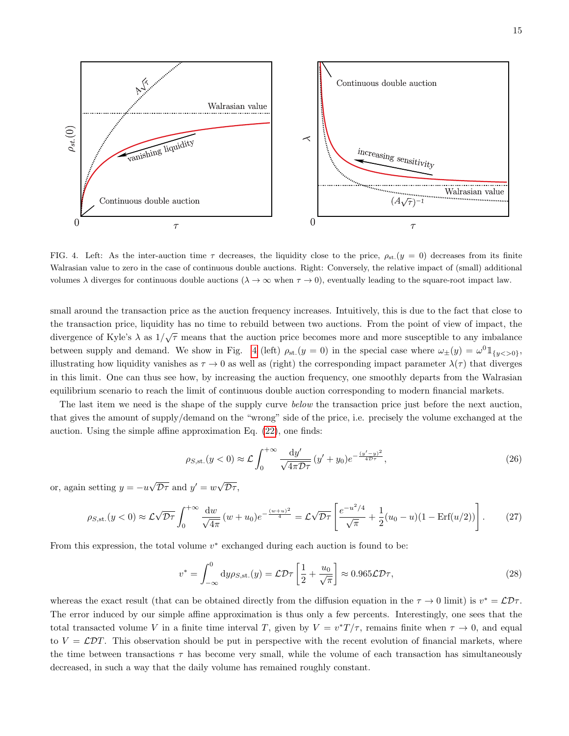



<span id="page-14-0"></span>FIG. 4. Left: As the inter-auction time  $\tau$  decreases, the liquidity close to the price,  $\rho_{st.}(y = 0)$  decreases from its finite Walrasian value to zero in the case of continuous double auctions. Right: Conversely, the relative impact of (small) additional volumes  $\lambda$  diverges for continuous double auctions  $(\lambda \to \infty$  when  $\tau \to 0)$ , eventually leading to the square-root impact law.

small around the transaction price as the auction frequency increases. Intuitively, this is due to the fact that close to the transaction price, liquidity has no time to rebuild between two auctions. From the point of view of impact, the divergence of Kyle's  $\lambda$  as  $1/\sqrt{\tau}$  means that the auction price becomes more and more susceptible to any imbalance between supply and demand. We show in Fig. [4](#page-14-0) (left)  $\rho_{st}(y=0)$  in the special case where  $\omega_{\pm}(y) = \omega^0 \mathbb{1}_{\{y < 0\}},$ illustrating how liquidity vanishes as  $\tau \to 0$  as well as (right) the corresponding impact parameter  $\lambda(\tau)$  that diverges in this limit. One can thus see how, by increasing the auction frequency, one smoothly departs from the Walrasian equilibrium scenario to reach the limit of continuous double auction corresponding to modern financial markets.

The last item we need is the shape of the supply curve *below* the transaction price just before the next auction, that gives the amount of supply/demand on the "wrong" side of the price, i.e. precisely the volume exchanged at the auction. Using the simple affine approximation Eq. [\(22\)](#page-13-1), one finds:

$$
\rho_{S,\text{st.}}(y<0) \approx \mathcal{L} \int_0^{+\infty} \frac{\mathrm{d}y'}{\sqrt{4\pi \mathcal{D}\tau}} (y' + y_0) e^{-\frac{(y'-y)^2}{4\mathcal{D}\tau}},\tag{26}
$$

or, again setting  $y = -u\sqrt{\mathcal{D}\tau}$  and  $y' = w\sqrt{\mathcal{D}\tau}$ ,

<span id="page-14-1"></span>
$$
\rho_{S,\text{st.}}(y<0) \approx \mathcal{L}\sqrt{\mathcal{D}\tau} \int_0^{+\infty} \frac{\mathrm{d}w}{\sqrt{4\pi}} (w+u_0) e^{-\frac{(w+u)^2}{4}} = \mathcal{L}\sqrt{\mathcal{D}\tau} \left[ \frac{e^{-u^2/4}}{\sqrt{\pi}} + \frac{1}{2}(u_0-u)(1-\text{Erf}(u/2)) \right]. \tag{27}
$$

From this expression, the total volume  $v^*$  exchanged during each auction is found to be:

$$
v^* = \int_{-\infty}^0 dy \rho_{S,st.}(y) = \mathcal{L} \mathcal{D} \tau \left[ \frac{1}{2} + \frac{u_0}{\sqrt{\pi}} \right] \approx 0.965 \mathcal{L} \mathcal{D} \tau,
$$
\n(28)

whereas the exact result (that can be obtained directly from the diffusion equation in the  $\tau \to 0$  limit) is  $v^* = \mathcal{L} \mathcal{D} \tau$ . The error induced by our simple affine approximation is thus only a few percents. Interestingly, one sees that the total transacted volume V in a finite time interval T, given by  $V = v^*T/\tau$ , remains finite when  $\tau \to 0$ , and equal to  $V = \mathcal{L}DT$ . This observation should be put in perspective with the recent evolution of financial markets, where the time between transactions  $\tau$  has become very small, while the volume of each transaction has simultaneously decreased, in such a way that the daily volume has remained roughly constant.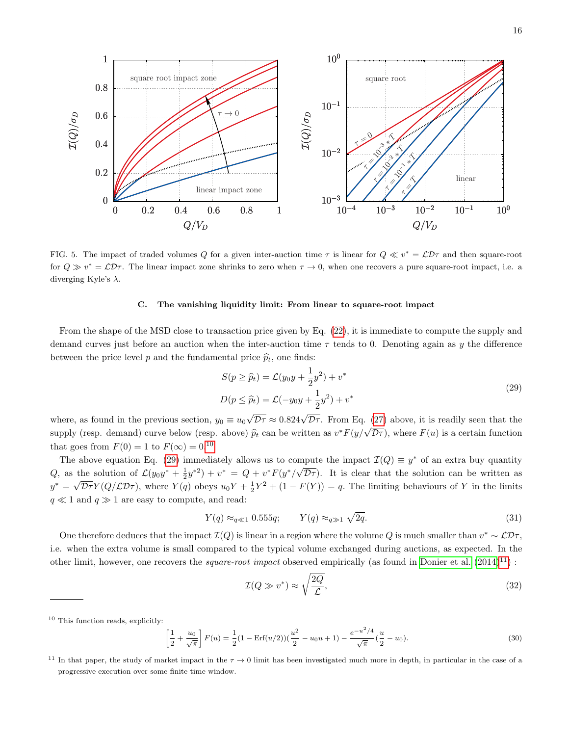

<span id="page-15-3"></span>FIG. 5. The impact of traded volumes Q for a given inter-auction time  $\tau$  is linear for  $Q \ll v^* = \mathcal{L}D\tau$  and then square-root for  $Q \gg v^* = \mathcal{L} \mathcal{D} \tau$ . The linear impact zone shrinks to zero when  $\tau \to 0$ , when one recovers a pure square-root impact, i.e. a diverging Kyle's  $\lambda$ .

### C. The vanishing liquidity limit: From linear to square-root impact

From the shape of the MSD close to transaction price given by Eq. [\(22\)](#page-13-1), it is immediate to compute the supply and demand curves just before an auction when the inter-auction time  $\tau$  tends to 0. Denoting again as y the difference between the price level p and the fundamental price  $\hat{p}_t$ , one finds:

<span id="page-15-1"></span>
$$
S(p \ge \widehat{p}_t) = \mathcal{L}(y_0 y + \frac{1}{2} y^2) + v^*
$$
  

$$
D(p \le \widehat{p}_t) = \mathcal{L}(-y_0 y + \frac{1}{2} y^2) + v^*
$$
 (29)

where, as found in the previous section,  $y_0 \equiv u_0 \sqrt{\mathcal{D}\tau} \approx 0.824 \sqrt{\mathcal{D}\tau}$ . From Eq. [\(27\)](#page-14-1) above, it is readily seen that the supply (resp. demand) curve below (resp. above)  $\hat{p}_t$  can be written as  $v^*F(y/\sqrt{\mathcal{D}\tau})$ , where  $F(u)$  is a certain function that goes from  $F(0) = 1$  to  $F(\infty) = 0.10$  $F(\infty) = 0.10$ 

The above equation Eq. [\(29\)](#page-15-1) immediately allows us to compute the impact  $\mathcal{I}(Q) \equiv y^*$  of an extra buy quantity Q, as the solution of  $\mathcal{L}(y_0y^* + \frac{1}{2}y^{*2}) + v^* = Q + v^*F(y^*/\sqrt{\mathcal{D}\tau})$ . It is clear that the solution can be written as  $y^* = \sqrt{\mathcal{D}\tau}Y(Q/\mathcal{L}\mathcal{D}\tau)$ , where  $Y(q)$  obeys  $u_0Y + \frac{1}{2}Y^2 + (1 - F(Y)) = q$ . The limiting behaviours of Y in the limits  $q \ll 1$  and  $q \gg 1$  are easy to compute, and read:

$$
Y(q) \approx_{q \ll 1} 0.555q; \qquad Y(q) \approx_{q \gg 1} \sqrt{2q}.
$$
\n
$$
(31)
$$

One therefore deduces that the impact  $\mathcal{I}(Q)$  is linear in a region where the volume Q is much smaller than  $v^* \sim \mathcal{L} \mathcal{D} \tau$ , i.e. when the extra volume is small compared to the typical volume exchanged during auctions, as expected. In the other limit, however, one recovers the *square-root impact* observed empirically (as found in [Donier et al.](#page-22-5)  $(2014)^{11}$  $(2014)^{11}$  $(2014)^{11}$  $(2014)^{11}$ ) :

$$
\mathcal{I}(Q \gg v^*) \approx \sqrt{\frac{2Q}{\mathcal{L}}},\tag{32}
$$

$$
\left[\frac{1}{2} + \frac{u_0}{\sqrt{\pi}}\right] F(u) = \frac{1}{2} (1 - \text{Erf}(u/2)) \left(\frac{u^2}{2} - u_0 u + 1\right) - \frac{e^{-u^2/4}}{\sqrt{\pi}} \left(\frac{u}{2} - u_0\right).
$$
\n(30)

<span id="page-15-0"></span><sup>10</sup> This function reads, explicitly:

<span id="page-15-2"></span><sup>&</sup>lt;sup>11</sup> In that paper, the study of market impact in the  $\tau \to 0$  limit has been investigated much more in depth, in particular in the case of a progressive execution over some finite time window.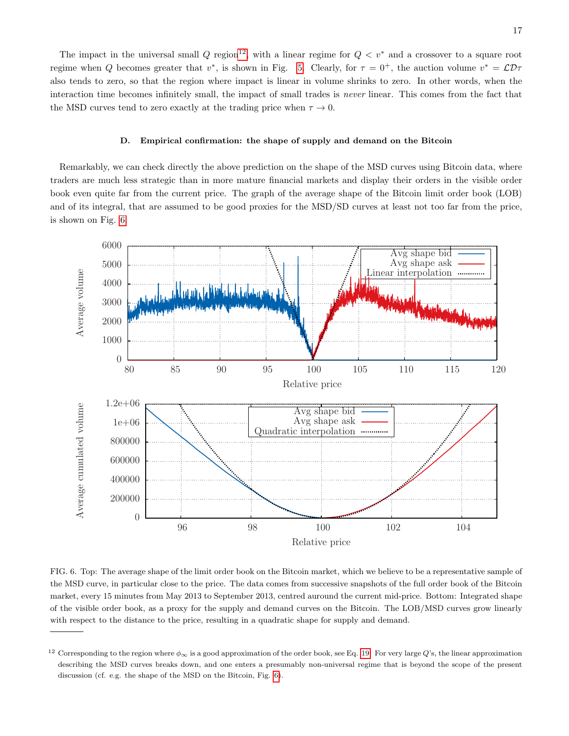The impact in the universal small Q region<sup>[12](#page-16-0)</sup>, with a linear regime for  $Q < v^*$  and a crossover to a square root regime when Q becomes greater that  $v^*$ , is shown in Fig. [5.](#page-15-3) Clearly, for  $\tau = 0^+$ , the auction volume  $v^* = \mathcal{L}D\tau$ also tends to zero, so that the region where impact is linear in volume shrinks to zero. In other words, when the interaction time becomes infinitely small, the impact of small trades is never linear. This comes from the fact that the MSD curves tend to zero exactly at the trading price when  $\tau \to 0$ .

## D. Empirical confirmation: the shape of supply and demand on the Bitcoin

Remarkably, we can check directly the above prediction on the shape of the MSD curves using Bitcoin data, where traders are much less strategic than in more mature financial markets and display their orders in the visible order book even quite far from the current price. The graph of the average shape of the Bitcoin limit order book (LOB) and of its integral, that are assumed to be good proxies for the MSD/SD curves at least not too far from the price, is shown on Fig. [6.](#page-16-1)



<span id="page-16-1"></span>FIG. 6. Top: The average shape of the limit order book on the Bitcoin market, which we believe to be a representative sample of the MSD curve, in particular close to the price. The data comes from successive snapshots of the full order book of the Bitcoin market, every 15 minutes from May 2013 to September 2013, centred auround the current mid-price. Bottom: Integrated shape of the visible order book, as a proxy for the supply and demand curves on the Bitcoin. The LOB/MSD curves grow linearly with respect to the distance to the price, resulting in a quadratic shape for supply and demand.

<span id="page-16-0"></span><sup>&</sup>lt;sup>12</sup> Corresponding to the region where  $\phi_{\infty}$  is a good approximation of the order book, see Eq. [19.](#page-12-4) For very large Q's, the linear approximation describing the MSD curves breaks down, and one enters a presumably non-universal regime that is beyond the scope of the present discussion (cf. e.g. the shape of the MSD on the Bitcoin, Fig. [6\)](#page-16-1).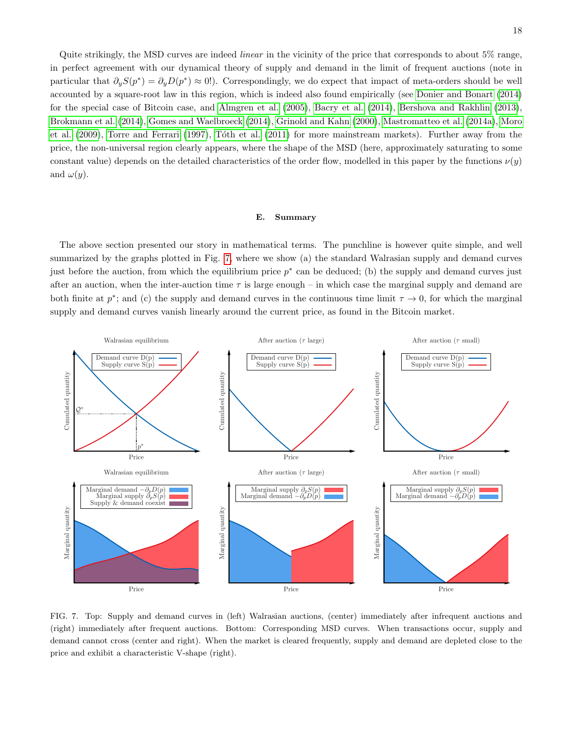Quite strikingly, the MSD curves are indeed linear in the vicinity of the price that corresponds to about 5% range, in perfect agreement with our dynamical theory of supply and demand in the limit of frequent auctions (note in particular that  $\partial_y S(p^*) = \partial_y D(p^*) \approx 0!$ . Correspondingly, we do expect that impact of meta-orders should be well accounted by a square-root law in this region, which is indeed also found empirically (see [Donier and Bonart](#page-22-10) [\(2014\)](#page-22-10) for the special case of Bitcoin case, and [Almgren et al.](#page-21-3) [\(2005\)](#page-21-3), [Bacry et al.](#page-22-7) [\(2014\)](#page-22-7), [Bershova and Rakhlin](#page-22-8) [\(2013\)](#page-22-8), [Brokmann et al.](#page-22-9) [\(2014\)](#page-22-9), [Gomes and Waelbroeck](#page-23-8) [\(2014\)](#page-23-8), [Grinold and Kahn](#page-23-9) [\(2000\)](#page-23-9), [Mastromatteo et al.](#page-24-3) [\(2014a\)](#page-24-3), [Moro](#page-24-4) [et al.](#page-24-4) [\(2009\)](#page-24-4), [Torre and Ferrari](#page-24-5) [\(1997\)](#page-24-5), Tóth et al. [\(2011\)](#page-24-6) for more mainstream markets). Further away from the price, the non-universal region clearly appears, where the shape of the MSD (here, approximately saturating to some constant value) depends on the detailed characteristics of the order flow, modelled in this paper by the functions  $\nu(y)$ and  $\omega(y)$ .

### E. Summary

The above section presented our story in mathematical terms. The punchline is however quite simple, and well summarized by the graphs plotted in Fig. [7,](#page-17-0) where we show (a) the standard Walrasian supply and demand curves just before the auction, from which the equilibrium price  $p^*$  can be deduced; (b) the supply and demand curves just after an auction, when the inter-auction time  $\tau$  is large enough – in which case the marginal supply and demand are both finite at  $p^*$ ; and (c) the supply and demand curves in the continuous time limit  $\tau \to 0$ , for which the marginal supply and demand curves vanish linearly around the current price, as found in the Bitcoin market.



<span id="page-17-0"></span>FIG. 7. Top: Supply and demand curves in (left) Walrasian auctions, (center) immediately after infrequent auctions and (right) immediately after frequent auctions. Bottom: Corresponding MSD curves. When transactions occur, supply and demand cannot cross (center and right). When the market is cleared frequently, supply and demand are depleted close to the price and exhibit a characteristic V-shape (right).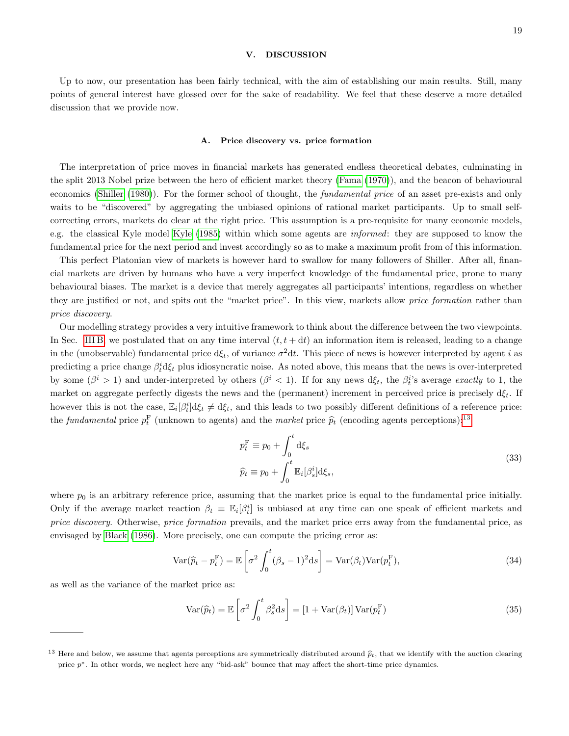## 19

## <span id="page-18-0"></span>V. DISCUSSION

Up to now, our presentation has been fairly technical, with the aim of establishing our main results. Still, many points of general interest have glossed over for the sake of readability. We feel that these deserve a more detailed discussion that we provide now.

### A. Price discovery vs. price formation

The interpretation of price moves in financial markets has generated endless theoretical debates, culminating in the split 2013 Nobel prize between the hero of efficient market theory [\(Fama](#page-23-27) [\(1970\)](#page-23-27)), and the beacon of behavioural economics [\(Shiller](#page-24-16) [\(1980\)](#page-24-16)). For the former school of thought, the fundamental price of an asset pre-exists and only waits to be "discovered" by aggregating the unbiased opinions of rational market participants. Up to small selfcorrecting errors, markets do clear at the right price. This assumption is a pre-requisite for many economic models, e.g. the classical Kyle model [Kyle](#page-23-7) [\(1985\)](#page-23-7) within which some agents are informed: they are supposed to know the fundamental price for the next period and invest accordingly so as to make a maximum profit from of this information.

This perfect Platonian view of markets is however hard to swallow for many followers of Shiller. After all, financial markets are driven by humans who have a very imperfect knowledge of the fundamental price, prone to many behavioural biases. The market is a device that merely aggregates all participants' intentions, regardless on whether they are justified or not, and spits out the "market price". In this view, markets allow *price formation* rather than price discovery.

Our modelling strategy provides a very intuitive framework to think about the difference between the two viewpoints. In Sec. [III B,](#page-7-2) we postulated that on any time interval  $(t, t + dt)$  an information item is released, leading to a change in the (unobservable) fundamental price  $d\xi_t$ , of variance  $\sigma^2 dt$ . This piece of news is however interpreted by agent i as predicting a price change  $\beta_t^i$ d $\xi_t$  plus idiosyncratic noise. As noted above, this means that the news is over-interpreted by some  $(\beta^i > 1)$  and under-interpreted by others  $(\beta^i < 1)$ . If for any news  $d\xi_t$ , the  $\beta_t^i$ 's average exactly to 1, the market on aggregate perfectly digests the news and the (permanent) increment in perceived price is precisely  $d\xi_t$ . If however this is not the case,  $\mathbb{E}_i[\beta_t^i]d\xi_t \neq d\xi_t$ , and this leads to two possibly different definitions of a reference price: the *fundamental* price  $p_t^{\text{F}}$  (unknown to agents) and the *market* price  $\hat{p}_t$  (encoding agents perceptions):<sup>[13](#page-18-1)</sup>

<span id="page-18-2"></span>
$$
p_t^{\mathcal{F}} \equiv p_0 + \int_0^t \mathrm{d}\xi_s
$$
  

$$
\hat{p}_t \equiv p_0 + \int_0^t \mathbb{E}_i[\beta_s^i] \mathrm{d}\xi_s,
$$
\n(33)

where  $p_0$  is an arbitrary reference price, assuming that the market price is equal to the fundamental price initially. Only if the average market reaction  $\beta_t \equiv \mathbb{E}_i[\beta_t^i]$  is unbiased at any time can one speak of efficient markets and price discovery. Otherwise, price formation prevails, and the market price errs away from the fundamental price, as envisaged by [Black](#page-22-23) [\(1986\)](#page-22-23). More precisely, one can compute the pricing error as:

$$
\text{Var}(\widehat{p}_t - p_t^{\mathcal{F}}) = \mathbb{E}\left[\sigma^2 \int_0^t (\beta_s - 1)^2 \, \mathrm{d}s\right] = \text{Var}(\beta_t) \text{Var}(p_t^{\mathcal{F}}),\tag{34}
$$

as well as the variance of the market price as:

$$
\text{Var}(\widehat{p}_t) = \mathbb{E}\left[\sigma^2 \int_0^t \beta_s^2 \, \mathrm{d}s\right] = \left[1 + \text{Var}(\beta_t)\right] \text{Var}(p_t^{\mathrm{F}})
$$
\n(35)

<span id="page-18-1"></span><sup>&</sup>lt;sup>13</sup> Here and below, we assume that agents perceptions are symmetrically distributed around  $\hat{p}_t$ , that we identify with the auction clearing price  $p^*$ . In other words, we neglect here any "bid-ask" bounce that may affect the short-time price dynamics.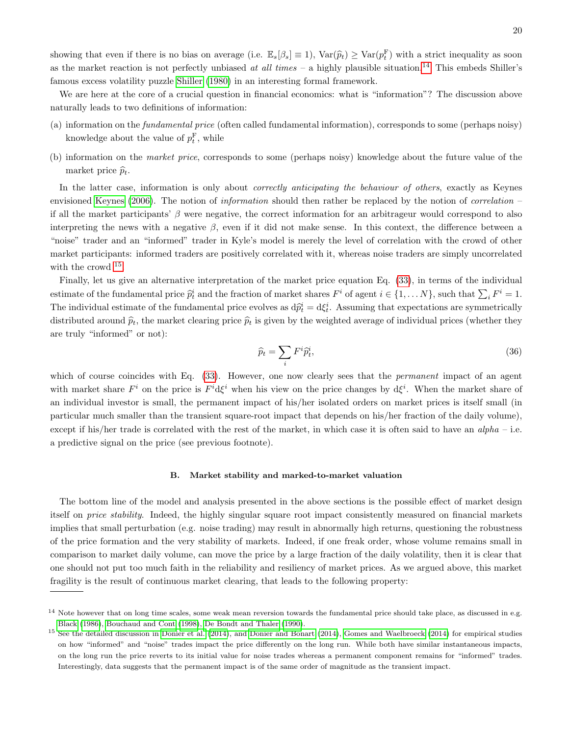showing that even if there is no bias on average (i.e.  $\mathbb{E}_s[\beta_s] \equiv 1$ ),  $\text{Var}(\widehat{p}_t) \geq \text{Var}(p_t^F)$  with a strict inequality as soon as the market reaction is not perfectly unbiased at all times – a highly plausible situation.<sup>[14](#page-19-0)</sup> This embeds Shiller's famous excess volatility puzzle [Shiller](#page-24-16) [\(1980\)](#page-24-16) in an interesting formal framework.

We are here at the core of a crucial question in financial economics: what is "information"? The discussion above naturally leads to two definitions of information:

- (a) information on the fundamental price (often called fundamental information), corresponds to some (perhaps noisy) knowledge about the value of  $p_t^{\text{F}}$ , while
- (b) information on the market price, corresponds to some (perhaps noisy) knowledge about the future value of the market price  $\widehat{p}_t$ .

In the latter case, information is only about *correctly anticipating the behaviour of others*, exactly as Keynes envisioned [Keynes](#page-23-28) [\(2006\)](#page-23-28). The notion of information should then rather be replaced by the notion of correlation – if all the market participants'  $\beta$  were negative, the correct information for an arbitrageur would correspond to also interpreting the news with a negative  $\beta$ , even if it did not make sense. In this context, the difference between a "noise" trader and an "informed" trader in Kyle's model is merely the level of correlation with the crowd of other market participants: informed traders are positively correlated with it, whereas noise traders are simply uncorrelated with the crowd <sup>[15](#page-19-1)</sup>.

Finally, let us give an alternative interpretation of the market price equation Eq. [\(33\)](#page-18-2), in terms of the individual estimate of the fundamental price  $\hat{p}_t^i$  and the fraction of market shares  $F^i$  of agent  $i \in \{1, ..., N\}$ , such that  $\sum_i F^i = 1$ . The individual estimate of the fundamental price evolves as  $d\hat{p}_t^i = d\xi_t^i$ . Assuming that expectations are symmetrically distributed around  $\hat{p}_t$ , the market clearing price  $\hat{p}_t$  is given by the weighted average of individual prices (whether they are truly "informed" or not):

$$
\widehat{p}_t = \sum_i F^i \widehat{p}_t^i,\tag{36}
$$

which of course coincides with Eq. [\(33\)](#page-18-2). However, one now clearly sees that the *permanent* impact of an agent with market share  $F^i$  on the price is  $F^i$ d $\xi^i$  when his view on the price changes by d $\xi^i$ . When the market share of an individual investor is small, the permanent impact of his/her isolated orders on market prices is itself small (in particular much smaller than the transient square-root impact that depends on his/her fraction of the daily volume), except if his/her trade is correlated with the rest of the market, in which case it is often said to have an  $alpha - i.e.$ a predictive signal on the price (see previous footnote).

### B. Market stability and marked-to-market valuation

The bottom line of the model and analysis presented in the above sections is the possible effect of market design itself on price stability. Indeed, the highly singular square root impact consistently measured on financial markets implies that small perturbation (e.g. noise trading) may result in abnormally high returns, questioning the robustness of the price formation and the very stability of markets. Indeed, if one freak order, whose volume remains small in comparison to market daily volume, can move the price by a large fraction of the daily volatility, then it is clear that one should not put too much faith in the reliability and resiliency of market prices. As we argued above, this market fragility is the result of continuous market clearing, that leads to the following property:

<span id="page-19-0"></span><sup>&</sup>lt;sup>14</sup> Note however that on long time scales, some weak mean reversion towards the fundamental price should take place, as discussed in e.g. [Black](#page-22-23) [\(1986\)](#page-22-23), [Bouchaud and Cont](#page-22-24) [\(1998\)](#page-22-24), [De Bondt and Thaler](#page-22-25) [\(1990\)](#page-22-25).

<span id="page-19-1"></span><sup>&</sup>lt;sup>15</sup> See the detailed discussion in [Donier et al.](#page-22-5) [\(2014\)](#page-23-8), and [Donier and Bonart](#page-22-10) (2014), [Gomes and Waelbroeck](#page-23-8) (2014) for empirical studies on how "informed" and "noise" trades impact the price differently on the long run. While both have similar instantaneous impacts, on the long run the price reverts to its initial value for noise trades whereas a permanent component remains for "informed" trades. Interestingly, data suggests that the permanent impact is of the same order of magnitude as the transient impact.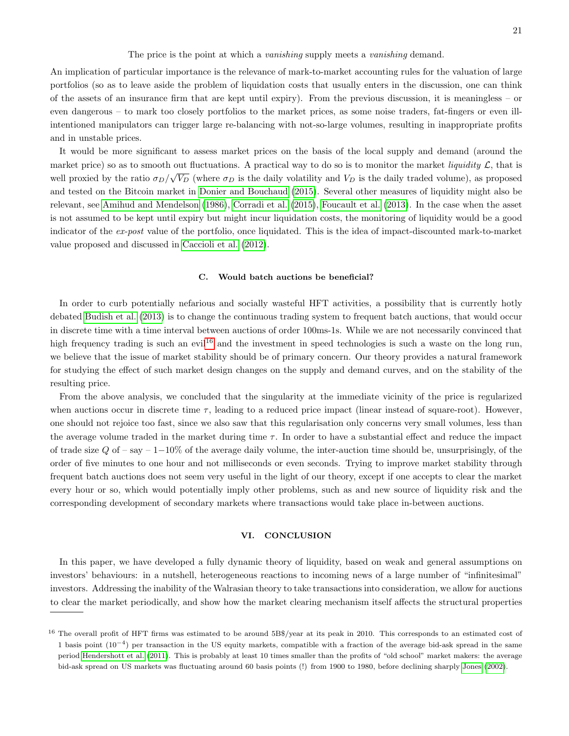The price is the point at which a *vanishing* supply meets a *vanishing* demand.

An implication of particular importance is the relevance of mark-to-market accounting rules for the valuation of large portfolios (so as to leave aside the problem of liquidation costs that usually enters in the discussion, one can think of the assets of an insurance firm that are kept until expiry). From the previous discussion, it is meaningless – or even dangerous – to mark too closely portfolios to the market prices, as some noise traders, fat-fingers or even illintentioned manipulators can trigger large re-balancing with not-so-large volumes, resulting in inappropriate profits and in unstable prices.

It would be more significant to assess market prices on the basis of the local supply and demand (around the market price) so as to smooth out fluctuations. A practical way to do so is to monitor the market *liquidity*  $\mathcal{L}$ , that is well proxied by the ratio  $\sigma_D/\sqrt{V_D}$  (where  $\sigma_D$  is the daily volatility and  $V_D$  is the daily traded volume), as proposed and tested on the Bitcoin market in [Donier and Bouchaud](#page-22-2) [\(2015\)](#page-22-2). Several other measures of liquidity might also be relevant, see [Amihud and Mendelson](#page-21-2) [\(1986\)](#page-21-2), [Corradi et al.](#page-22-26) [\(2015\)](#page-22-26), [Foucault et al.](#page-23-4) [\(2013\)](#page-23-4). In the case when the asset is not assumed to be kept until expiry but might incur liquidation costs, the monitoring of liquidity would be a good indicator of the ex-post value of the portfolio, once liquidated. This is the idea of impact-discounted mark-to-market value proposed and discussed in [Caccioli et al.](#page-22-6) [\(2012\)](#page-22-6).

## C. Would batch auctions be beneficial?

In order to curb potentially nefarious and socially wasteful HFT activities, a possibility that is currently hotly debated [Budish et al.](#page-22-11) [\(2013\)](#page-22-11) is to change the continuous trading system to frequent batch auctions, that would occur in discrete time with a time interval between auctions of order 100ms-1s. While we are not necessarily convinced that high frequency trading is such an evil<sup>[16](#page-20-1)</sup> and the investment in speed technologies is such a waste on the long run, we believe that the issue of market stability should be of primary concern. Our theory provides a natural framework for studying the effect of such market design changes on the supply and demand curves, and on the stability of the resulting price.

From the above analysis, we concluded that the singularity at the immediate vicinity of the price is regularized when auctions occur in discrete time  $\tau$ , leading to a reduced price impact (linear instead of square-root). However, one should not rejoice too fast, since we also saw that this regularisation only concerns very small volumes, less than the average volume traded in the market during time  $\tau$ . In order to have a substantial effect and reduce the impact of trade size  $Q$  of – say – 1–10% of the average daily volume, the inter-auction time should be, unsurprisingly, of the order of five minutes to one hour and not milliseconds or even seconds. Trying to improve market stability through frequent batch auctions does not seem very useful in the light of our theory, except if one accepts to clear the market every hour or so, which would potentially imply other problems, such as and new source of liquidity risk and the corresponding development of secondary markets where transactions would take place in-between auctions.

## <span id="page-20-0"></span>VI. CONCLUSION

In this paper, we have developed a fully dynamic theory of liquidity, based on weak and general assumptions on investors' behaviours: in a nutshell, heterogeneous reactions to incoming news of a large number of "infinitesimal" investors. Addressing the inability of the Walrasian theory to take transactions into consideration, we allow for auctions to clear the market periodically, and show how the market clearing mechanism itself affects the structural properties

<span id="page-20-1"></span><sup>&</sup>lt;sup>16</sup> The overall profit of HFT firms was estimated to be around 5B\$/year at its peak in 2010. This corresponds to an estimated cost of 1 basis point (10−<sup>4</sup> ) per transaction in the US equity markets, compatible with a fraction of the average bid-ask spread in the same period [Hendershott et al.](#page-23-29) [\(2011\)](#page-23-29). This is probably at least 10 times smaller than the profits of "old school" market makers: the average bid-ask spread on US markets was fluctuating around 60 basis points (!) from 1900 to 1980, before declining sharply [Jones](#page-23-30) [\(2002\)](#page-23-30).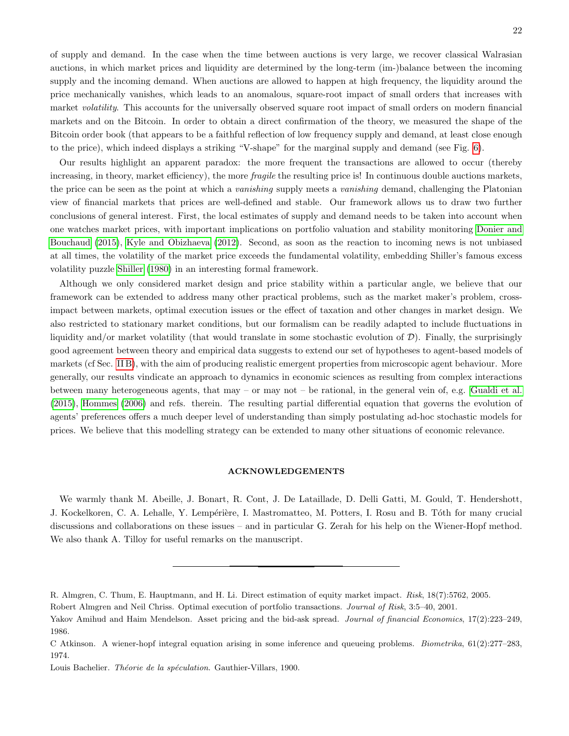of supply and demand. In the case when the time between auctions is very large, we recover classical Walrasian auctions, in which market prices and liquidity are determined by the long-term (im-)balance between the incoming supply and the incoming demand. When auctions are allowed to happen at high frequency, the liquidity around the price mechanically vanishes, which leads to an anomalous, square-root impact of small orders that increases with market volatility. This accounts for the universally observed square root impact of small orders on modern financial markets and on the Bitcoin. In order to obtain a direct confirmation of the theory, we measured the shape of the Bitcoin order book (that appears to be a faithful reflection of low frequency supply and demand, at least close enough to the price), which indeed displays a striking "V-shape" for the marginal supply and demand (see Fig. [6\)](#page-16-1).

Our results highlight an apparent paradox: the more frequent the transactions are allowed to occur (thereby increasing, in theory, market efficiency), the more *fragile* the resulting price is! In continuous double auctions markets, the price can be seen as the point at which a vanishing supply meets a vanishing demand, challenging the Platonian view of financial markets that prices are well-defined and stable. Our framework allows us to draw two further conclusions of general interest. First, the local estimates of supply and demand needs to be taken into account when one watches market prices, with important implications on portfolio valuation and stability monitoring [Donier and](#page-22-2) [Bouchaud](#page-22-2) [\(2015\)](#page-22-2), [Kyle and Obizhaeva](#page-23-31) [\(2012\)](#page-23-31). Second, as soon as the reaction to incoming news is not unbiased at all times, the volatility of the market price exceeds the fundamental volatility, embedding Shiller's famous excess volatility puzzle [Shiller](#page-24-16) [\(1980\)](#page-24-16) in an interesting formal framework.

Although we only considered market design and price stability within a particular angle, we believe that our framework can be extended to address many other practical problems, such as the market maker's problem, crossimpact between markets, optimal execution issues or the effect of taxation and other changes in market design. We also restricted to stationary market conditions, but our formalism can be readily adapted to include fluctuations in liquidity and/or market volatility (that would translate in some stochastic evolution of  $D$ ). Finally, the surprisingly good agreement between theory and empirical data suggests to extend our set of hypotheses to agent-based models of markets (cf Sec. [II B\)](#page-5-0), with the aim of producing realistic emergent properties from microscopic agent behaviour. More generally, our results vindicate an approach to dynamics in economic sciences as resulting from complex interactions between many heterogeneous agents, that may – or may not – be rational, in the general vein of, e.g. [Gualdi et al.](#page-23-11) [\(2015\)](#page-23-11), [Hommes](#page-23-10) [\(2006\)](#page-23-10) and refs. therein. The resulting partial differential equation that governs the evolution of agents' preferences offers a much deeper level of understanding than simply postulating ad-hoc stochastic models for prices. We believe that this modelling strategy can be extended to many other situations of economic relevance.

## ACKNOWLEDGEMENTS

We warmly thank M. Abeille, J. Bonart, R. Cont, J. De Lataillade, D. Delli Gatti, M. Gould, T. Hendershott, J. Kockelkoren, C. A. Lehalle, Y. Lempérière, I. Mastromatteo, M. Potters, I. Rosu and B. Tóth for many crucial discussions and collaborations on these issues – and in particular G. Zerah for his help on the Wiener-Hopf method. We also thank A. Tilloy for useful remarks on the manuscript.

<span id="page-21-3"></span>R. Almgren, C. Thum, E. Hauptmann, and H. Li. Direct estimation of equity market impact. Risk, 18(7):5762, 2005.

<span id="page-21-1"></span>Robert Almgren and Neil Chriss. Optimal execution of portfolio transactions. Journal of Risk, 3:5–40, 2001.

<span id="page-21-2"></span>Yakov Amihud and Haim Mendelson. Asset pricing and the bid-ask spread. Journal of financial Economics, 17(2):223–249, 1986.

<span id="page-21-4"></span>C Atkinson. A wiener-hopf integral equation arising in some inference and queueing problems. Biometrika, 61(2):277–283, 1974.

<span id="page-21-0"></span>Louis Bachelier. Théorie de la spéculation. Gauthier-Villars, 1900.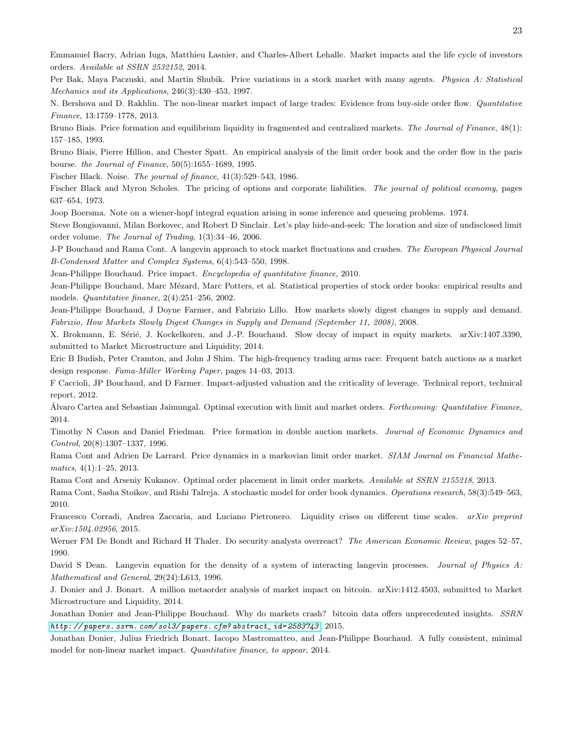<span id="page-22-7"></span>Emmanuel Bacry, Adrian Iuga, Matthieu Lasnier, and Charles-Albert Lehalle. Market impacts and the life cycle of investors orders. Available at SSRN 2532152, 2014.

<span id="page-22-20"></span>Per Bak, Maya Paczuski, and Martin Shubik. Price variations in a stock market with many agents. Physica A: Statistical Mechanics and its Applications, 246(3):430–453, 1997.

<span id="page-22-8"></span>N. Bershova and D. Rakhlin. The non-linear market impact of large trades: Evidence from buy-side order flow. Quantitative Finance, 13:1759–1778, 2013.

<span id="page-22-12"></span>Bruno Biais. Price formation and equilibrium liquidity in fragmented and centralized markets. The Journal of Finance, 48(1): 157–185, 1993.

<span id="page-22-16"></span>Bruno Biais, Pierre Hillion, and Chester Spatt. An empirical analysis of the limit order book and the order flow in the paris bourse. the Journal of Finance, 50(5):1655–1689, 1995.

<span id="page-22-23"></span>Fischer Black. Noise. The journal of finance, 41(3):529–543, 1986.

<span id="page-22-3"></span>Fischer Black and Myron Scholes. The pricing of options and corporate liabilities. The journal of political economy, pages 637–654, 1973.

<span id="page-22-22"></span><span id="page-22-0"></span>Joop Boersma. Note on a wiener-hopf integral equation arising in some inference and queueing problems. 1974.

Steve Bongiovanni, Milan Borkovec, and Robert D Sinclair. Let's play hide-and-seek: The location and size of undisclosed limit order volume. The Journal of Trading, 1(3):34–46, 2006.

<span id="page-22-24"></span>J-P Bouchaud and Rama Cont. A langevin approach to stock market fluctuations and crashes. The European Physical Journal B-Condensed Matter and Complex Systems, 6(4):543–550, 1998.

<span id="page-22-17"></span><span id="page-22-4"></span>Jean-Philippe Bouchaud. Price impact. Encyclopedia of quantitative finance, 2010.

Jean-Philippe Bouchaud, Marc Mézard, Marc Potters, et al. Statistical properties of stock order books: empirical results and models. Quantitative finance, 2(4):251–256, 2002.

<span id="page-22-1"></span>Jean-Philippe Bouchaud, J Doyne Farmer, and Fabrizio Lillo. How markets slowly digest changes in supply and demand. Fabrizio, How Markets Slowly Digest Changes in Supply and Demand (September 11, 2008), 2008.

<span id="page-22-9"></span>X. Brokmann, E. Sérié, J. Kockelkoren, and J.-P. Bouchaud. Slow decay of impact in equity markets. arXiv:1407.3390, submitted to Market Microstructure and Liquidity, 2014.

<span id="page-22-11"></span>Eric B Budish, Peter Cramton, and John J Shim. The high-frequency trading arms race: Frequent batch auctions as a market design response. Fama-Miller Working Paper, pages 14–03, 2013.

<span id="page-22-6"></span>F Caccioli, JP Bouchaud, and D Farmer. Impact-adjusted valuation and the criticality of leverage. Technical report, technical report, 2012.

<span id="page-22-14"></span>Alvaro Cartea and Sebastian Jaimungal. Optimal execution with limit and market orders. Forthcoming: Quantitative Finance, 2014.

<span id="page-22-13"></span>Timothy N Cason and Daniel Friedman. Price formation in double auction markets. Journal of Economic Dynamics and Control, 20(8):1307–1337, 1996.

<span id="page-22-19"></span>Rama Cont and Adrien De Larrard. Price dynamics in a markovian limit order market. SIAM Journal on Financial Mathe $matics, 4(1):1-25, 2013.$ 

<span id="page-22-15"></span>Rama Cont and Arseniy Kukanov. Optimal order placement in limit order markets. Available at SSRN 2155218, 2013.

<span id="page-22-18"></span>Rama Cont, Sasha Stoikov, and Rishi Talreja. A stochastic model for order book dynamics. Operations research, 58(3):549–563, 2010.

<span id="page-22-26"></span>Francesco Corradi, Andrea Zaccaria, and Luciano Pietronero. Liquidity crises on different time scales. arXiv preprint arXiv:1504.02956, 2015.

<span id="page-22-25"></span>Werner FM De Bondt and Richard H Thaler. Do security analysts overreact? The American Economic Review, pages 52–57, 1990.

<span id="page-22-21"></span>David S Dean. Langevin equation for the density of a system of interacting langevin processes. Journal of Physics A: Mathematical and General, 29(24):L613, 1996.

<span id="page-22-10"></span>J. Donier and J. Bonart. A million metaorder analysis of market impact on bitcoin. arXiv:1412.4503, submitted to Market Microstructure and Liquidity, 2014.

<span id="page-22-2"></span>Jonathan Donier and Jean-Philippe Bouchaud. Why do markets crash? bitcoin data offers unprecedented insights. SSRN [http: // papers. ssrn. com/ sol3/ papers. cfm? abstract\\_ id= 2583743](http://papers.ssrn.com/sol3/papers.cfm?abstract_id=2583743) , 2015.

<span id="page-22-5"></span>Jonathan Donier, Julius Friedrich Bonart, Iacopo Mastromatteo, and Jean-Philippe Bouchaud. A fully consistent, minimal model for non-linear market impact. Quantitative finance, to appear, 2014.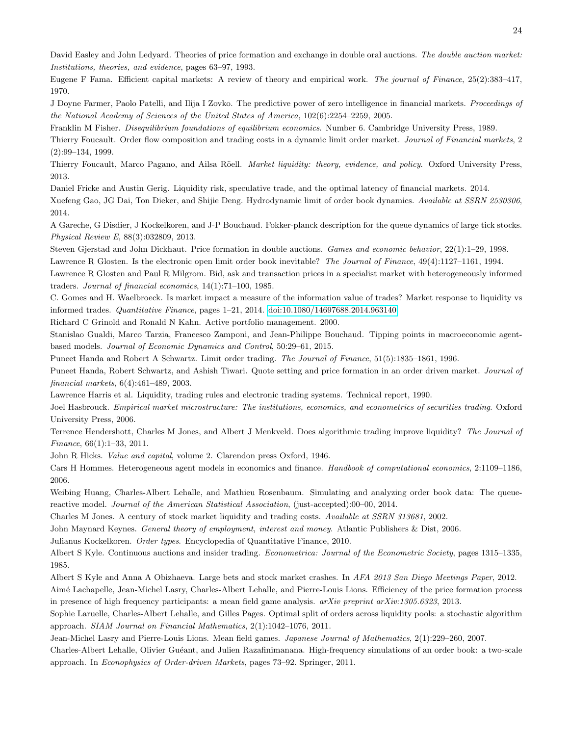<span id="page-23-16"></span>David Easley and John Ledyard. Theories of price formation and exchange in double oral auctions. The double auction market: Institutions, theories, and evidence, pages 63–97, 1993.

<span id="page-23-27"></span>Eugene F Fama. Efficient capital markets: A review of theory and empirical work. The journal of Finance, 25(2):383–417, 1970.

<span id="page-23-20"></span>J Doyne Farmer, Paolo Patelli, and Ilija I Zovko. The predictive power of zero intelligence in financial markets. Proceedings of the National Academy of Sciences of the United States of America, 102(6):2254–2259, 2005.

<span id="page-23-22"></span><span id="page-23-15"></span>Franklin M Fisher. Disequilibrium foundations of equilibrium economics. Number 6. Cambridge University Press, 1989.

Thierry Foucault. Order flow composition and trading costs in a dynamic limit order market. Journal of Financial markets, 2 (2):99–134, 1999.

<span id="page-23-4"></span>Thierry Foucault, Marco Pagano, and Ailsa Röell. Market liquidity: theory, evidence, and policy. Oxford University Press, 2013.

<span id="page-23-26"></span><span id="page-23-13"></span>Daniel Fricke and Austin Gerig. Liquidity risk, speculative trade, and the optimal latency of financial markets. 2014. Xuefeng Gao, JG Dai, Ton Dieker, and Shijie Deng. Hydrodynamic limit of order book dynamics. Available at SSRN 2530306, 2014.

<span id="page-23-21"></span>A Gareche, G Disdier, J Kockelkoren, and J-P Bouchaud. Fokker-planck description for the queue dynamics of large tick stocks. Physical Review E, 88(3):032809, 2013.

<span id="page-23-17"></span><span id="page-23-0"></span>Steven Gjerstad and John Dickhaut. Price formation in double auctions. Games and economic behavior, 22(1):1–29, 1998. Lawrence R Glosten. Is the electronic open limit order book inevitable? The Journal of Finance, 49(4):1127–1161, 1994.

<span id="page-23-2"></span>Lawrence R Glosten and Paul R Milgrom. Bid, ask and transaction prices in a specialist market with heterogeneously informed

traders. Journal of financial economics, 14(1):71–100, 1985.

<span id="page-23-8"></span>C. Gomes and H. Waelbroeck. Is market impact a measure of the information value of trades? Market response to liquidity vs informed trades. Quantitative Finance, pages 1–21, 2014. [doi:10.1080/14697688.2014.963140.](http://dx.doi.org/10.1080/14697688.2014.963140)

<span id="page-23-9"></span>Richard C Grinold and Ronald N Kahn. Active portfolio management. 2000.

<span id="page-23-11"></span>Stanislao Gualdi, Marco Tarzia, Francesco Zamponi, and Jean-Philippe Bouchaud. Tipping points in macroeconomic agentbased models. Journal of Economic Dynamics and Control, 50:29–61, 2015.

<span id="page-23-3"></span>Puneet Handa and Robert A Schwartz. Limit order trading. The Journal of Finance, 51(5):1835–1861, 1996.

<span id="page-23-5"></span>Puneet Handa, Robert Schwartz, and Ashish Tiwari. Quote setting and price formation in an order driven market. Journal of financial markets, 6(4):461–489, 2003.

<span id="page-23-19"></span><span id="page-23-1"></span>Lawrence Harris et al. Liquidity, trading rules and electronic trading systems. Technical report, 1990.

Joel Hasbrouck. Empirical market microstructure: The institutions, economics, and econometrics of securities trading. Oxford University Press, 2006.

<span id="page-23-29"></span>Terrence Hendershott, Charles M Jones, and Albert J Menkveld. Does algorithmic trading improve liquidity? The Journal of Finance, 66(1):1–33, 2011.

<span id="page-23-14"></span>John R Hicks. Value and capital, volume 2. Clarendon press Oxford, 1946.

<span id="page-23-10"></span>Cars H Hommes. Heterogeneous agent models in economics and finance. Handbook of computational economics, 2:1109–1186, 2006.

<span id="page-23-24"></span>Weibing Huang, Charles-Albert Lehalle, and Mathieu Rosenbaum. Simulating and analyzing order book data: The queuereactive model. Journal of the American Statistical Association, (just-accepted):00–00, 2014.

<span id="page-23-30"></span>Charles M Jones. A century of stock market liquidity and trading costs. Available at SSRN 313681, 2002.

<span id="page-23-28"></span>John Maynard Keynes. General theory of employment, interest and money. Atlantic Publishers & Dist, 2006.

<span id="page-23-6"></span>Julianus Kockelkoren. Order types. Encyclopedia of Quantitative Finance, 2010.

<span id="page-23-7"></span>Albert S Kyle. Continuous auctions and insider trading. Econometrica: Journal of the Econometric Society, pages 1315–1335, 1985.

<span id="page-23-31"></span>Albert S Kyle and Anna A Obizhaeva. Large bets and stock market crashes. In AFA 2013 San Diego Meetings Paper, 2012.

<span id="page-23-23"></span>Aim´e Lachapelle, Jean-Michel Lasry, Charles-Albert Lehalle, and Pierre-Louis Lions. Efficiency of the price formation process in presence of high frequency participants: a mean field game analysis.  $arXiv$  preprint  $arXiv:1305.6323$ , 2013.

<span id="page-23-18"></span>Sophie Laruelle, Charles-Albert Lehalle, and Gilles Pages. Optimal split of orders across liquidity pools: a stochastic algorithm approach. SIAM Journal on Financial Mathematics, 2(1):1042–1076, 2011.

<span id="page-23-12"></span>Jean-Michel Lasry and Pierre-Louis Lions. Mean field games. Japanese Journal of Mathematics, 2(1):229–260, 2007.

<span id="page-23-25"></span>Charles-Albert Lehalle, Olivier Gu´eant, and Julien Razafinimanana. High-frequency simulations of an order book: a two-scale approach. In Econophysics of Order-driven Markets, pages 73–92. Springer, 2011.